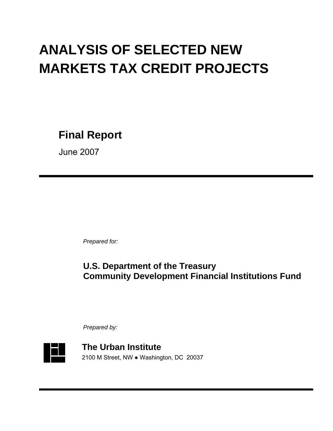# **ANALYSIS OF SELECTED NEW MARKETS TAX CREDIT PROJECTS**

**Final Report** 

June 2007

 *Prepared for:*

# **U.S. Department of the Treasury Community Development Financial Institutions Fund**

*Prepared by:*



**The Urban Institute**  2100 M Street, NW ● Washington, DC 20037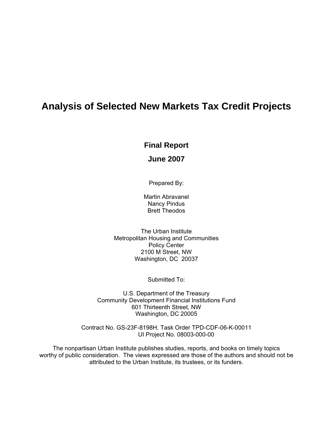# **Analysis of Selected New Markets Tax Credit Projects**

# **Final Report**

# **June 2007**

Prepared By:

Martin Abravanel Nancy Pindus Brett Theodos

The Urban Institute Metropolitan Housing and Communities Policy Center 2100 M Street, NW Washington, DC 20037

Submitted To:

U.S. Department of the Treasury Community Development Financial Institutions Fund 601 Thirteenth Street, NW Washington, DC 20005

Contract No. GS-23F-8198H, Task Order TPD-CDF-06-K-00011 UI Project No. 08003-000-00

The nonpartisan Urban Institute publishes studies, reports, and books on timely topics worthy of public consideration. The views expressed are those of the authors and should not be attributed to the Urban Institute, its trustees, or its funders.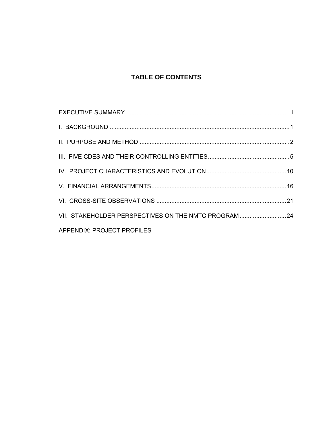# **TABLE OF CONTENTS**

| VII. STAKEHOLDER PERSPECTIVES ON THE NMTC PROGRAM  24 |  |
|-------------------------------------------------------|--|
| APPENDIX: PROJECT PROFILES                            |  |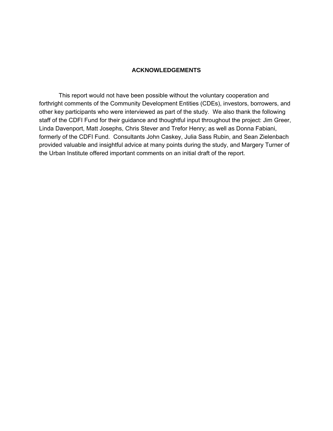# **ACKNOWLEDGEMENTS**

This report would not have been possible without the voluntary cooperation and forthright comments of the Community Development Entities (CDEs), investors, borrowers, and other key participants who were interviewed as part of the study. We also thank the following staff of the CDFI Fund for their guidance and thoughtful input throughout the project: Jim Greer, Linda Davenport, Matt Josephs, Chris Stever and Trefor Henry; as well as Donna Fabiani, formerly of the CDFI Fund. Consultants John Caskey, Julia Sass Rubin, and Sean Zielenbach provided valuable and insightful advice at many points during the study, and Margery Turner of the Urban Institute offered important comments on an initial draft of the report.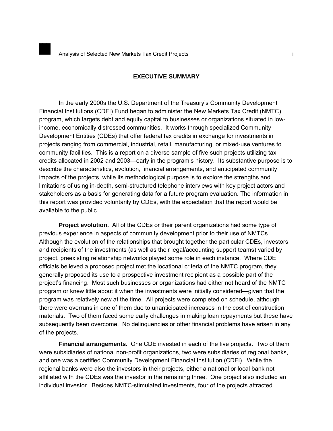<span id="page-4-0"></span>EL

#### **EXECUTIVE SUMMARY**

In the early 2000s the U.S. Department of the Treasury's Community Development Financial Institutions (CDFI) Fund began to administer the New Markets Tax Credit (NMTC) program, which targets debt and equity capital to businesses or organizations situated in lowincome, economically distressed communities. It works through specialized Community Development Entities (CDEs) that offer federal tax credits in exchange for investments in projects ranging from commercial, industrial, retail, manufacturing, or mixed-use ventures to community facilities. This is a report on a diverse sample of five such projects utilizing tax credits allocated in 2002 and 2003—early in the program's history. Its substantive purpose is to describe the characteristics, evolution, financial arrangements, and anticipated community impacts of the projects, while its methodological purpose is to explore the strengths and limitations of using in-depth, semi-structured telephone interviews with key project actors and stakeholders as a basis for generating data for a future program evaluation. The information in this report was provided voluntarily by CDEs, with the expectation that the report would be available to the public.

**Project evolution.** All of the CDEs or their parent organizations had some type of previous experience in aspects of community development prior to their use of NMTCs. Although the evolution of the relationships that brought together the particular CDEs, investors and recipients of the investments (as well as their legal/accounting support teams) varied by project, preexisting relationship networks played some role in each instance. Where CDE officials believed a proposed project met the locational criteria of the NMTC program, they generally proposed its use to a prospective investment recipient as a possible part of the project's financing. Most such businesses or organizations had either not heard of the NMTC program or knew little about it when the investments were initially considered—given that the program was relatively new at the time. All projects were completed on schedule, although there were overruns in one of them due to unanticipated increases in the cost of construction materials. Two of them faced some early challenges in making loan repayments but these have subsequently been overcome. No delinquencies or other financial problems have arisen in any of the projects.

**Financial arrangements.** One CDE invested in each of the five projects. Two of them were subsidiaries of national non-profit organizations, two were subsidiaries of regional banks, and one was a certified Community Development Financial Institution (CDFI). While the regional banks were also the investors in their projects, either a national or local bank not affiliated with the CDEs was the investor in the remaining three. One project also included an individual investor. Besides NMTC-stimulated investments, four of the projects attracted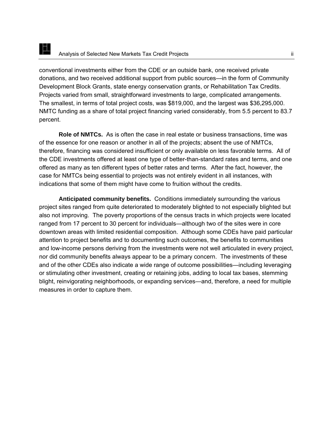# E Analysis of Selected New Markets Tax Credit Projects ii

conventional investments either from the CDE or an outside bank, one received private donations, and two received additional support from public sources—in the form of Community Development Block Grants, state energy conservation grants, or Rehabilitation Tax Credits. Projects varied from small, straightforward investments to large, complicated arrangements. The smallest, in terms of total project costs, was \$819,000, and the largest was \$36,295,000. NMTC funding as a share of total project financing varied considerably, from 5.5 percent to 83.7 percent.

**Role of NMTCs.** As is often the case in real estate or business transactions, time was of the essence for one reason or another in all of the projects; absent the use of NMTCs, therefore, financing was considered insufficient or only available on less favorable terms. All of the CDE investments offered at least one type of better-than-standard rates and terms, and one offered as many as ten different types of better rates and terms. After the fact, however, the case for NMTCs being essential to projects was not entirely evident in all instances, with indications that some of them might have come to fruition without the credits.

**Anticipated community benefits.** Conditions immediately surrounding the various project sites ranged from quite deteriorated to moderately blighted to not especially blighted but also not improving. The poverty proportions of the census tracts in which projects were located ranged from 17 percent to 30 percent for individuals—although two of the sites were in core downtown areas with limited residential composition. Although some CDEs have paid particular attention to project benefits and to documenting such outcomes, the benefits to communities and low-income persons deriving from the investments were not well articulated in every project, nor did community benefits always appear to be a primary concern. The investments of these and of the other CDEs also indicate a wide range of outcome possibilities—including leveraging or stimulating other investment, creating or retaining jobs, adding to local tax bases, stemming blight, reinvigorating neighborhoods, or expanding services—and, therefore, a need for multiple measures in order to capture them.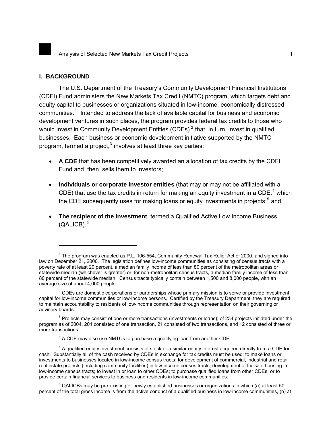#### **I. BACKGROUND**

<span id="page-6-0"></span>IX

-

The U.S. Department of the Treasury's Community Development Financial Institutions (CDFI) Fund administers the New Markets Tax Credit (NMTC) program, which targets debt and equity capital to businesses or organizations situated in low-income, economically distressed communities.<sup>[1](#page-6-1)</sup> Intended to address the lack of available capital for business and economic development ventures in such places, the program provides federal tax credits to those who would invest in Community Development Entities (CDEs)<sup>[2](#page-6-2)</sup> that, in turn, invest in qualified businesses. Each business or economic development initiative supported by the NMTC program, termed a project, $3$  involves at least three key parties:

- **A CDE** that has been competitively awarded an allocation of tax credits by the CDFI Fund and, then, sells them to investors;
- **Individuals or corporate investor entities** (that may or may not be affiliated with a CDE) that use the tax credits in return for making an equity investment in a CDE,<sup>[4](#page-6-4)</sup> which the CDE subsequently uses for making loans or equity investments in projects;<sup>[5](#page-6-5)</sup> and
- **The recipient of the investment**, termed a Qualified Active Low Income Business (QALICB). $^6$  $^6$

<span id="page-6-1"></span> $1$  The program was enacted as P.L. 106-554, Community Renewal Tax Relief Act of 2000, and signed into law on December 21, 2000. The legislation defines low-income communities as consisting of census tracts with a poverty rate of at least 20 percent, a median family income of less than 80 percent of the metropolitan areas or statewide median (whichever is greater) or, for non-metropolitan census tracts, a median family income of less than 80 percent of the statewide median. Census tracts typically contain between 1,500 and 8,000 people, with an average size of about 4,000 people.

<span id="page-6-2"></span> $2^{2}$  CDEs are domestic corporations or partnerships whose primary mission is to serve or provide investment capital for low-income communities or low-income persons. Certified by the Treasury Department, they are required to maintain accountability to residents of low-income communities through representation on their governing or advisory boards.

<span id="page-6-3"></span> $3$  Projects may consist of one or more transactions (investments or loans); of 234 projects initiated under the program as of 2004, 201 consisted of one transaction, 21 consisted of two transactions, and 12 consisted of three or more transactions.

 $4$  A CDE may also use NMTCs to purchase a qualifying loan from another CDE.

<span id="page-6-5"></span><span id="page-6-4"></span> $5$  A qualified equity investment consists of stock or a similar equity interest acquired directly from a CDE for cash. Substantially all of the cash received by CDEs in exchange for tax credits must be used: to make loans or investments to businesses located in low-income census tracts; for development of commercial, industrial and retail real estate projects (including community facilities) in low-income census tracts; development of for-sale housing in low-income census tracts; to invest in or loan to other CDEs; to purchase qualified loans from other CDEs; or to provide certain financial services to business and residents in low-income communities.

<span id="page-6-6"></span> $^6$  QALICBs may be pre-existing or newly established businesses or organizations in which (a) at least 50 percent of the total gross income is from the active conduct of a qualified business in low-income communities, (b) at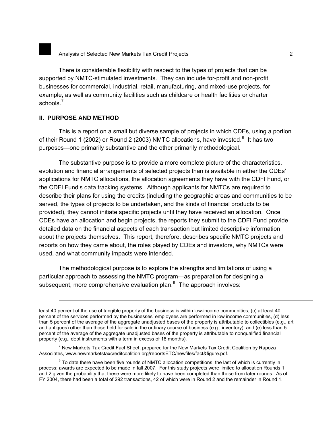There is considerable flexibility with respect to the types of projects that can be supported by NMTC-stimulated investments. They can include for-profit and non-profit businesses for commercial, industrial, retail, manufacturing, and mixed-use projects, for example, as well as community facilities such as childcare or health facilities or charter schools.<sup>[7](#page-7-1)</sup>

## **II. PURPOSE AND METHOD**

<span id="page-7-0"></span>EL.

-

This is a report on a small but diverse sample of projects in which CDEs, using a portion of their Round 1 (2002) or Round 2 (2003) NMTC allocations, have invested.<sup>[8](#page-7-2)</sup> It has two purposes—one primarily substantive and the other primarily methodological.

The substantive purpose is to provide a more complete picture of the characteristics, evolution and financial arrangements of selected projects than is available in either the CDEs' applications for NMTC allocations, the allocation agreements they have with the CDFI Fund, or the CDFI Fund's data tracking systems. Although applicants for NMTCs are required to describe their plans for using the credits (including the geographic areas and communities to be served, the types of projects to be undertaken, and the kinds of financial products to be provided), they cannot initiate specific projects until they have received an allocation. Once CDEs have an allocation and begin projects, the reports they submit to the CDFI Fund provide detailed data on the financial aspects of each transaction but limited descriptive information about the projects themselves. This report, therefore, describes specific NMTC projects and reports on how they came about, the roles played by CDEs and investors, why NMTCs were used, and what community impacts were intended.

The methodological purpose is to explore the strengths and limitations of using a particular approach to assessing the NMTC program—as preparation for designing a subsequent, more comprehensive evaluation plan. $9$  The approach involves:

<span id="page-7-3"></span>least 40 percent of the use of tangible property of the business is within low-income communities, (c) at least 40 percent of the services performed by the businesses' employees are performed in low income communities, (d) less than 5 percent of the average of the aggregate unadjusted bases of the property is attributable to collectibles (e.g., art and antiques) other than those held for sale in the ordinary course of business (e.g., inventory), and (e) less than 5 percent of the average of the aggregate unadjusted bases of the property is attributable to nonqualified financial property (e.g., debt instruments with a term in excess of 18 months).

<span id="page-7-1"></span> $^7$  New Markets Tax Credit Fact Sheet, prepared for the New Markets Tax Credit Coalition by Rapoza Associates, www.newmarketstaxcreditcoalition.org/reportsETC/newfiles/fact&figure.pdf.

<span id="page-7-2"></span> $8$  To date there have been five rounds of NMTC allocation competitions, the last of which is currently in process; awards are expected to be made in fall 2007. For this study projects were limited to allocation Rounds 1 and 2 given the probability that these were more likely to have been completed than those from later rounds. As of FY 2004, there had been a total of 292 transactions, 42 of which were in Round 2 and the remainder in Round 1.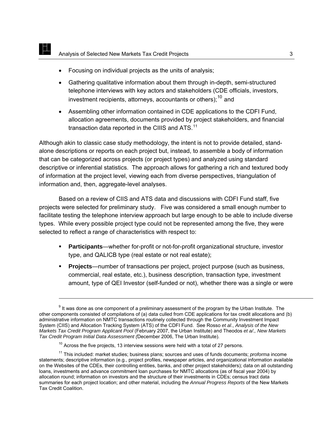- Focusing on individual projects as the units of analysis;
- Gathering qualitative information about them through in-depth, semi-structured telephone interviews with key actors and stakeholders (CDE officials, investors, investment recipients, attorneys, accountants or others):<sup>[10](#page-8-0)</sup> and
- Assembling other information contained in CDE applications to the CDFI Fund, allocation agreements, documents provided by project stakeholders, and financial transaction data reported in the CIIIS and ATS.<sup>[11](#page-8-1)</sup>

Although akin to classic case study methodology, the intent is not to provide detailed, standalone descriptions or reports on each project but, instead, to assemble a body of information that can be categorized across projects (or project types) and analyzed using standard descriptive or inferential statistics. The approach allows for gathering a rich and textured body of information at the project level, viewing each from diverse perspectives, triangulation of information and, then, aggregate-level analyses.

Based on a review of CIIS and ATS data and discussions with CDFI Fund staff, five projects were selected for preliminary study. Five was considered a small enough number to facilitate testing the telephone interview approach but large enough to be able to include diverse types. While every possible project type could not be represented among the five, they were selected to reflect a range of characteristics with respect to:

- **Participants**—whether for-profit or not-for-profit organizational structure, investor type, and QALICB type (real estate or not real estate);
- **Projects**—number of transactions per project, project purpose (such as business, commercial, real estate, etc.), business description, transaction type, investment amount, type of QEI Investor (self-funded or not), whether there was a single or were

EL

 $9$  It was done as one component of a preliminary assessment of the program by the Urban Institute. The other components consisted of compilations of (a) data culled from CDE applications for tax credit allocations and (b) administrative information on NMTC transactions routinely collected through the Community Investment Impact System (CIIS) and Allocation Tracking System (ATS) of the CDFI Fund. See Rosso *et al*., *Analysis of the New Markets Tax Credit Program Applicant Pool* (February 2007, the Urban Institute) and Theodos *et a/., New Markets Tax Credit Program Initial Data Assessment (*December 2006, The Urban Institute).

 $10$  Across the five projects, 13 interview sessions were held with a total of 27 persons.

<span id="page-8-1"></span><span id="page-8-0"></span><sup>&</sup>lt;sup>11</sup> This included: market studies; business plans; sources and uses of funds documents; *proforma* income statements; descriptive information (e.g., project profiles, newspaper articles, and organizational information available on the Websites of the CDEs, their controlling entities, banks, and other project stakeholders); data on all outstanding loans, investments and advance commitment loan purchases for NMTC allocations (as of fiscal year 2004) by allocation round; information on investors and the structure of their investments in CDEs; census tract data summaries for each project location; and other material, including the *Annual Progress Reports* of the New Markets Tax Credit Coalition.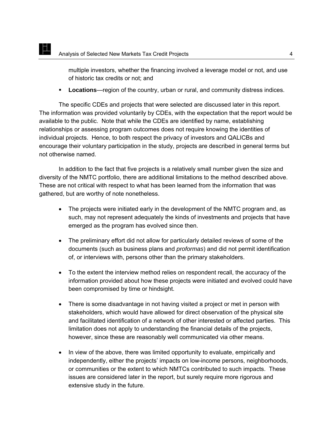EL

multiple investors, whether the financing involved a leverage model or not, and use of historic tax credits or not; and

**Locations**—region of the country, urban or rural, and community distress indices.

The specific CDEs and projects that were selected are discussed later in this report. The information was provided voluntarily by CDEs, with the expectation that the report would be available to the public. Note that while the CDEs are identified by name, establishing relationships or assessing program outcomes does not require knowing the identities of individual projects. Hence, to both respect the privacy of investors and QALICBs and encourage their voluntary participation in the study, projects are described in general terms but not otherwise named.

In addition to the fact that five projects is a relatively small number given the size and diversity of the NMTC portfolio, there are additional limitations to the method described above. These are not critical with respect to what has been learned from the information that was gathered, but are worthy of note nonetheless.

- The projects were initiated early in the development of the NMTC program and, as such, may not represent adequately the kinds of investments and projects that have emerged as the program has evolved since then.
- The preliminary effort did not allow for particularly detailed reviews of some of the documents (such as business plans and *proformas*) and did not permit identification of, or interviews with, persons other than the primary stakeholders.
- To the extent the interview method relies on respondent recall, the accuracy of the information provided about how these projects were initiated and evolved could have been compromised by time or hindsight.
- There is some disadvantage in not having visited a project or met in person with stakeholders, which would have allowed for direct observation of the physical site and facilitated identification of a network of other interested or affected parties. This limitation does not apply to understanding the financial details of the projects, however, since these are reasonably well communicated via other means.
- In view of the above, there was limited opportunity to evaluate, empirically and independently, either the projects' impacts on low-income persons, neighborhoods, or communities or the extent to which NMTCs contributed to such impacts. These issues are considered later in the report, but surely require more rigorous and extensive study in the future.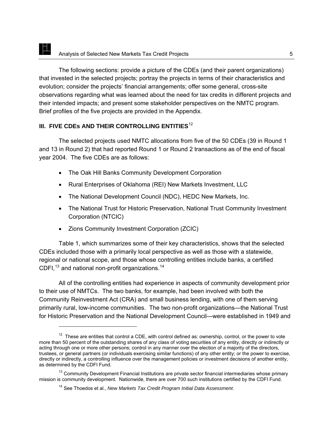<span id="page-10-0"></span>The following sections: provide a picture of the CDEs (and their parent organizations) that invested in the selected projects; portray the projects in terms of their characteristics and evolution; consider the projects' financial arrangements; offer some general, cross-site observations regarding what was learned about the need for tax credits in different projects and their intended impacts; and present some stakeholder perspectives on the NMTC program. Brief profiles of the five projects are provided in the Appendix.

# **III. FIVE CDES AND THEIR CONTROLLING ENTITIES**<sup>[12](#page-10-1)</sup>

The selected projects used NMTC allocations from five of the 50 CDEs (39 in Round 1 and 13 in Round 2) that had reported Round 1 or Round 2 transactions as of the end of fiscal year 2004. The five CDEs are as follows:

- The Oak Hill Banks Community Development Corporation
- Rural Enterprises of Oklahoma (REI) New Markets Investment, LLC
- The National Development Council (NDC), HEDC New Markets, Inc.
- The National Trust for Historic Preservation, National Trust Community Investment Corporation (NTCIC)
- Zions Community Investment Corporation (ZCIC)

Table 1, which summarizes some of their key characteristics, shows that the selected CDEs included those with a primarily local perspective as well as those with a statewide, regional or national scope, and those whose controlling entities include banks, a certified CDFI, $^{13}$  $^{13}$  $^{13}$  and national non-profit organizations.<sup>[14](#page-10-3)</sup>

All of the controlling entities had experience in aspects of community development prior to their use of NMTCs. The two banks, for example, had been involved with both the Community Reinvestment Act (CRA) and small business lending, with one of them serving primarily rural, low-income communities. The two non-profit organizations—the National Trust for Historic Preservation and the National Development Council—were established in 1949 and

<span id="page-10-1"></span> $12$  These are entities that control a CDE, with control defined as: ownership, control, or the power to vote more than 50 percent of the outstanding shares of any class of voting securities of any entity, directly or indirectly or acting through one or more other persons; control in any manner over the election of a majority of the directors, trustees, or general partners (or individuals exercising similar functions) of any other entity; or the power to exercise, directly or indirectly, a controlling influence over the management policies or investment decisions of another entity, as determined by the CDFI Fund.

<span id="page-10-3"></span><span id="page-10-2"></span><sup>&</sup>lt;sup>13</sup> Community Development Financial Institutions are private sector financial intermediaries whose primary mission is community development. Nationwide, there are over 700 such institutions certified by the CDFI Fund.

<sup>14</sup> See Thoedos et al., *New Markets Tax Credit Program Initial Data Assessment*.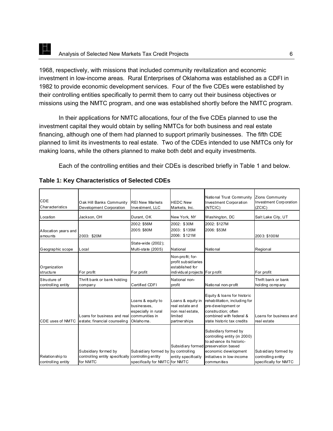1968, respectively, with missions that included community revitalization and economic investment in low-income areas. Rural Enterprises of Oklahoma was established as a CDFI in 1982 to provide economic development services. Four of the five CDEs were established by their controlling entities specifically to permit them to carry out their business objectives or missions using the NMTC program, and one was established shortly before the NMTC program.

In their applications for NMTC allocations, four of the five CDEs planned to use the investment capital they would obtain by selling NMTCs for both business and real estate financing, although one of them had planned to support primarily businesses. The fifth CDE planned to limit its investments to real estate. Two of the CDEs intended to use NMTCs only for making loans, while the others planned to make both debt and equity investments.

Each of the controlling entities and their CDEs is described briefly in Table 1 and below.

| CDE<br>Characteristics                 | Oak Hill Banks Community<br>Development Corporation                 | <b>REI New Markets</b><br>Investment, LLC                                                   | <b>HEDC New</b><br>Markets, Inc.                                                              | National Trust Community<br><b>Investment Corporation</b><br>(NTCIC)                                                                                                                         | Zions Community<br><b>Investment Corporation</b><br>(ZCIC)          |
|----------------------------------------|---------------------------------------------------------------------|---------------------------------------------------------------------------------------------|-----------------------------------------------------------------------------------------------|----------------------------------------------------------------------------------------------------------------------------------------------------------------------------------------------|---------------------------------------------------------------------|
| Location                               | Jackson, OH                                                         | Durant, OK                                                                                  | New York, NY                                                                                  | Washington, DC                                                                                                                                                                               | Salt Lake City, UT                                                  |
| Allocation years and<br>amounts        | 2003: \$20M                                                         | 2002: \$56M<br>2005: \$80M                                                                  | 2002: \$30M<br>2003: \$135M<br>2006: \$121M                                                   | 2002: \$127M<br>2006: \$53M                                                                                                                                                                  | 2003: \$100M                                                        |
| Geographic scope                       | Local                                                               | State-wide (2002);<br>Multi-state (2005)                                                    | National                                                                                      | National                                                                                                                                                                                     | Regional                                                            |
| Organization<br>structure              | For profit                                                          | For profit                                                                                  | Non-profit; for-<br>profit sub sidiaries<br>established for<br>individual projects For profit |                                                                                                                                                                                              | For profit                                                          |
| Structure of<br>controlling entity     | Thrift bank or bank holding<br>company                              | Certified CDFI                                                                              | National non-<br>profit                                                                       | National non-profit                                                                                                                                                                          | Thrift bank or bank<br>holding company                              |
| <b>CDE</b> uses of NMTC                | Loans for business and real<br>estate; financial counseling         | Loans & equity to<br>businesses.<br>especially in rural<br>communities in<br>Oklahoma.      | Loans & equity in<br>real estate and<br>non real estate,<br>limited<br>partnerships           | Equity & loans for historic<br>rehabilitation, including for<br>pre-development or<br>construction; often<br>combined with federal &<br>state historic tax credits                           | Loans for business and<br>real estate                               |
| Relation ship to<br>controlling entity | Subsidiary formed by<br>controlling entity specifically<br>for NMTC | Subsidiary formed by by controlling<br>controlling entity<br>specifically for NMTC for NMTC | entity specifically                                                                           | Subsidiary formed by<br>controlling entity (in 2000)<br>to advance its historic-<br>Subsidiary formed preservation based<br>economic development<br>initiatives in low-income<br>communities | Subsidiary formed by<br>controlling entity<br>specifically for NMTC |

## **Table 1: Key Characteristics of Selected CDEs**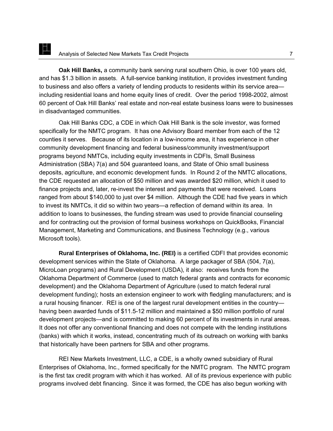**Oak Hill Banks,** a community bank serving rural southern Ohio, is over 100 years old, and has \$1.3 billion in assets. A full-service banking institution, it provides investment funding to business and also offers a variety of lending products to residents within its service area including residential loans and home equity lines of credit. Over the period 1998-2002, almost 60 percent of Oak Hill Banks' real estate and non-real estate business loans were to businesses in disadvantaged communities.

Oak Hill Banks CDC, a CDE in which Oak Hill Bank is the sole investor, was formed specifically for the NMTC program. It has one Advisory Board member from each of the 12 counties it serves. Because of its location in a low-income area, it has experience in other community development financing and federal business/community investment/support programs beyond NMTCs, including equity investments in CDFIs, Small Business Administration (SBA) 7(a) and 504 guaranteed loans, and State of Ohio small business deposits, agriculture, and economic development funds. In Round 2 of the NMTC allocations, the CDE requested an allocation of \$50 million and was awarded \$20 million, which it used to finance projects and, later, re-invest the interest and payments that were received. Loans ranged from about \$140,000 to just over \$4 million. Although the CDE had five years in which to invest its NMTCs, it did so within two years—a reflection of demand within its area. In addition to loans to businesses, the funding stream was used to provide financial counseling and for contracting out the provision of formal business workshops on QuickBooks, Financial Management, Marketing and Communications, and Business Technology (e.g., various Microsoft tools).

**Rural Enterprises of Oklahoma, Inc. (REI)** is a certified CDFI that provides economic development services within the State of Oklahoma. A large packager of SBA (504, 7(a), MicroLoan programs) and Rural Development (USDA), it also: receives funds from the Oklahoma Department of Commerce (used to match federal grants and contracts for economic development) and the Oklahoma Department of Agriculture (used to match federal rural development funding); hosts an extension engineer to work with fledgling manufacturers; and is a rural housing financer. REI is one of the largest rural development entities in the country having been awarded funds of \$11.5-12 million and maintained a \$50 million portfolio of rural development projects—and is committed to making 60 percent of its investments in rural areas. It does not offer any conventional financing and does not compete with the lending institutions (banks) with which it works, instead, concentrating much of its outreach on working with banks that historically have been partners for SBA and other programs.

REI New Markets Investment, LLC, a CDE, is a wholly owned subsidiary of Rural Enterprises of Oklahoma, Inc., formed specifically for the NMTC program. The NMTC program is the first tax credit program with which it has worked. All of its previous experience with public programs involved debt financing. Since it was formed, the CDE has also begun working with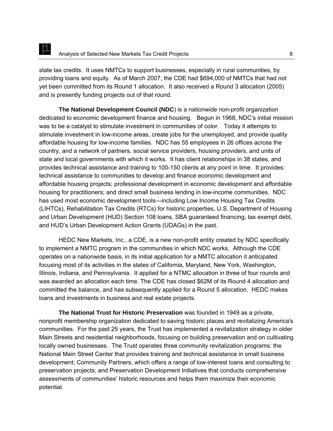state tax credits. It uses NMTCs to support businesses, especially in rural communities, by providing loans and equity. As of March 2007, the CDE had \$694,000 of NMTCs that had not yet been committed from its Round 1 allocation. It also received a Round 3 allocation (2005) and is presently funding projects out of that round.

**The National Development Council (NDC**) is a nationwide non-profit organization dedicated to economic development finance and housing. Begun in 1968, NDC's initial mission was to be a catalyst to stimulate investment in communities of color. Today it attempts to stimulate investment in low-income areas, create jobs for the unemployed, and provide quality affordable housing for low-income families. NDC has 55 employees in 26 offices across the country, and a network of partners, social service providers, housing providers, and units of state and local governments with which it works. It has client relationships in 38 states, and provides technical assistance and training to 100-150 clients at any point in time. It provides: technical assistance to communities to develop and finance economic development and affordable housing projects; professional development in economic development and affordable housing for practitioners; and direct small business lending in low-income communities. NDC has used most economic development tools—including Low Income Housing Tax Credits (LIHTCs), Rehabilitation Tax Credits (RTCs) for historic properties, U.S. Department of Housing and Urban Development (HUD) Section 108 loans, SBA guaranteed financing, tax exempt debt, and HUD's Urban Development Action Grants (UDAGs) in the past.

HEDC New Markets, Inc., a CDE, is a new non-profit entity created by NDC specifically to implement a NMTC program in the communities in which NDC works. Although the CDE operates on a nationwide basis, in its initial application for a NMTC allocation it anticipated focusing most of its activities in the states of California, Maryland, New York, Washington, Illinois, Indiana, and Pennsylvania. It applied for a NTMC allocation in three of four rounds and was awarded an allocation each time. The CDE has closed \$62M of its Round 4 allocation and committed the balance, and has subsequently applied for a Round 5 allocation. HEDC makes loans and investments in business and real estate projects.

**The National Trust for Historic Preservation** was founded in 1949 as a private, nonprofit membership organization dedicated to saving historic places and revitalizing America's communities. For the past 25 years, the Trust has implemented a revitalization strategy in older Main Streets and residential neighborhoods, focusing on building preservation and on cultivating locally owned businesses. The Trust operates three community revitalization programs: the National Main Street Center that provides training and technical assistance in small business development; Community Partners, which offers a range of low-interest loans and consulting to preservation projects; and Preservation Development Initiatives that conducts comprehensive assessments of communities' historic resources and helps them maximize their economic potential.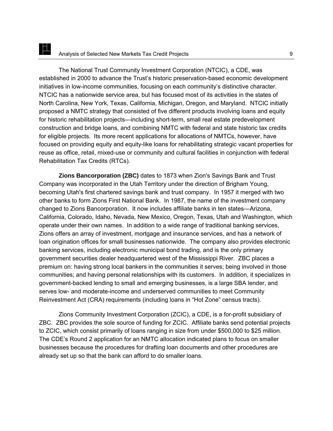The National Trust Community Investment Corporation (NTCIC), a CDE, was established in 2000 to advance the Trust's historic preservation-based economic development initiatives in low-income communities, focusing on each community's distinctive character. NTCIC has a nationwide service area, but has focused most of its activities in the states of North Carolina, New York, Texas, California, Michigan, Oregon, and Maryland. NTCIC initially proposed a NMTC strategy that consisted of five different products involving loans and equity for historic rehabilitation projects—including short-term, small real estate predevelopment construction and bridge loans, and combining NMTC with federal and state historic tax credits for eligible projects. Its more recent applications for allocations of NMTCs, however, have focused on providing equity and equity-like loans for rehabilitating strategic vacant properties for reuse as office, retail, mixed-use or community and cultural facilities in conjunction with federal Rehabilitation Tax Credits (RTCs).

**Zions Bancorporation (ZBC)** dates to 1873 when Zion's Savings Bank and Trust Company was incorporated in the Utah Territory under the direction of Brigham Young, becoming Utah's first chartered savings bank and trust company. In 1957 it merged with two other banks to form Zions First National Bank. In 1987, the name of the investment company changed to Zions Bancorporation. It now includes affiliate banks in ten states—Arizona, California, Colorado, Idaho, Nevada, New Mexico, Oregon, Texas, Utah and Washington, which operate under their own names. In addition to a wide range of traditional banking services, Zions offers an array of investment, mortgage and insurance services, and has a network of loan origination offices for small businesses nationwide. The company also provides electronic banking services, including electronic municipal bond trading, and is the only primary government securities dealer headquartered west of the Mississippi River. ZBC places a premium on: having strong local bankers in the communities it serves; being involved in those communities; and having personal relationships with its customers. In addition, it specializes in government-backed lending to small and emerging businesses, is a large SBA lender, and serves low- and moderate-income and underserved communities to meet Community Reinvestment Act (CRA) requirements (including loans in "Hot Zone" census tracts).

Zions Community Investment Corporation (ZCIC), a CDE, is a for-profit subsidiary of ZBC. ZBC provides the sole source of funding for ZCIC. Affiliate banks send potential projects to ZCIC, which consist primarily of loans ranging in size from under \$500,000 to \$25 million. The CDE's Round 2 application for an NMTC allocation indicated plans to focus on smaller businesses because the procedures for drafting loan documents and other procedures are already set up so that the bank can afford to do smaller loans.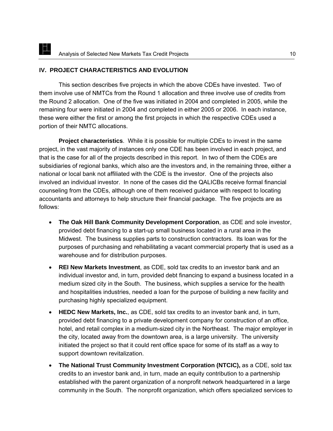# <span id="page-15-0"></span>**IV. PROJECT CHARACTERISTICS AND EVOLUTION**

 This section describes five projects in which the above CDEs have invested. Two of them involve use of NMTCs from the Round 1 allocation and three involve use of credits from the Round 2 allocation. One of the five was initiated in 2004 and completed in 2005, while the remaining four were initiated in 2004 and completed in either 2005 or 2006. In each instance, these were either the first or among the first projects in which the respective CDEs used a portion of their NMTC allocations.

**Project characteristics**. While it is possible for multiple CDEs to invest in the same project, in the vast majority of instances only one CDE has been involved in each project, and that is the case for all of the projects described in this report. In two of them the CDEs are subsidiaries of regional banks, which also are the investors and, in the remaining three, either a national or local bank not affiliated with the CDE is the investor. One of the projects also involved an individual investor. In none of the cases did the QALICBs receive formal financial counseling from the CDEs, although one of them received guidance with respect to locating accountants and attorneys to help structure their financial package. The five projects are as follows:

- **The Oak Hill Bank Community Development Corporation**, as CDE and sole investor, provided debt financing to a start-up small business located in a rural area in the Midwest. The business supplies parts to construction contractors. Its loan was for the purposes of purchasing and rehabilitating a vacant commercial property that is used as a warehouse and for distribution purposes.
- **REI New Markets Investment**, as CDE, sold tax credits to an investor bank and an individual investor and, in turn, provided debt financing to expand a business located in a medium sized city in the South. The business, which supplies a service for the health and hospitalities industries, needed a loan for the purpose of building a new facility and purchasing highly specialized equipment.
- **HEDC New Markets, Inc.**, as CDE, sold tax credits to an investor bank and, in turn, provided debt financing to a private development company for construction of an office, hotel, and retail complex in a medium-sized city in the Northeast. The major employer in the city, located away from the downtown area, is a large university. The university initiated the project so that it could rent office space for some of its staff as a way to support downtown revitalization.
- **The National Trust Community Investment Corporation (NTCIC),** as a CDE, sold tax credits to an investor bank and, in turn, made an equity contribution to a partnership established with the parent organization of a nonprofit network headquartered in a large community in the South. The nonprofit organization, which offers specialized services to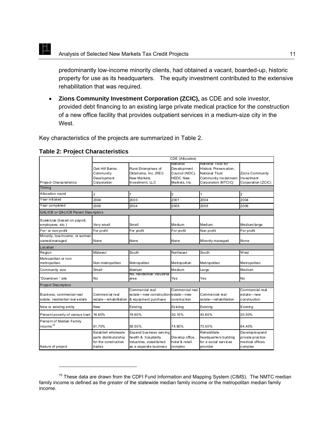predominantly low-income minority clients, had obtained a vacant, boarded-up, historic property for use as its headquarters. The equity investment contributed to the extensive rehabilitation that was required.

• **Zions Community Investment Corporation (ZCIC),** as CDE and sole investor, provided debt financing to an existing large private medical practice for the construction of a new office facility that provides outpatient services in a medium-size city in the West.

Key characteristics of the projects are summarized in Table 2.

|                                                              | CDE (Allocatee)                                                                |                                                                                                      |                                                                                      |                                                                                                               |                                                                  |
|--------------------------------------------------------------|--------------------------------------------------------------------------------|------------------------------------------------------------------------------------------------------|--------------------------------------------------------------------------------------|---------------------------------------------------------------------------------------------------------------|------------------------------------------------------------------|
| Project Characteristics                                      | Oak Hill Banks<br>Community<br>Development<br>Corporation                      | Rural Enterprises of<br>Oklahoma, Inc. (REI)<br><b>New Markets</b><br>Investment. LLC                | National<br><b>Development</b><br>Council (NDC),<br><b>HEDC New</b><br>Markets, Inc. | National Trust for<br>Historic Preservation.<br>National Trust<br>Community Investment<br>Corporation (NTCIC) | <b>Zions Community</b><br>Investment<br>Corporation (ZCIC)       |
| Timing                                                       |                                                                                |                                                                                                      |                                                                                      |                                                                                                               |                                                                  |
| Allocation round                                             | $\overline{2}$                                                                 | 1                                                                                                    | $\overline{2}$                                                                       |                                                                                                               | $\overline{2}$                                                   |
| Year initiated                                               | 2004                                                                           | 2003                                                                                                 | 2001                                                                                 | 2004                                                                                                          | 2004                                                             |
| Year completed                                               | 2005                                                                           | 2004                                                                                                 | 2005                                                                                 | 2005                                                                                                          | 2006                                                             |
| <b>QALICB or QALICB Parent Descriptors</b>                   |                                                                                |                                                                                                      |                                                                                      |                                                                                                               |                                                                  |
| Scale/size (based on payroll,<br>employees, etc.)            | Very small                                                                     | Small                                                                                                | Medium                                                                               | Medium                                                                                                        | Medium/large                                                     |
| For- or non-profit                                           | For profit                                                                     | For profit                                                                                           | For profit                                                                           | Non profit                                                                                                    | For profit                                                       |
| Minority, low-income, or women<br>owned/managed              | None                                                                           | None                                                                                                 | None                                                                                 | Minority managed                                                                                              | None                                                             |
| Location                                                     |                                                                                |                                                                                                      |                                                                                      |                                                                                                               |                                                                  |
| Region                                                       | <b>Midwest</b>                                                                 | South                                                                                                | Northeast                                                                            | South                                                                                                         | W est                                                            |
| Metropolitan or non<br>metropolitan                          | Non-metropolitan                                                               | Metropolitan                                                                                         | Metropolitan                                                                         | Metropolitan                                                                                                  | Metropolitan                                                     |
| Community size                                               | Small                                                                          | Medium                                                                                               | Medium                                                                               | Large                                                                                                         | Medium                                                           |
| Downtown " site                                              | <b>No</b>                                                                      | No, residential/industrial<br>area                                                                   | Yes                                                                                  | Yes                                                                                                           | <b>No</b>                                                        |
| Project Descriptors                                          |                                                                                |                                                                                                      |                                                                                      |                                                                                                               |                                                                  |
| Business, commercial real<br>estate, residential real estate | Commercial real<br>estate-rehabilitation                                       | Commercial real<br>estate-new construction estate-new<br>& equipment purchase                        | Commercial real<br>construction                                                      | Commercial real<br>estate-rehabilitation                                                                      | Commercial real<br>estate-new<br>construction                    |
| New or existing entity                                       | <b>New</b>                                                                     | Existing                                                                                             | <b>Existing</b>                                                                      | Existing                                                                                                      | Existing                                                         |
| Percent poverty of census tract                              | 16.60%                                                                         | 19.60%                                                                                               | 30.10%                                                                               | 43.80%                                                                                                        | 20.50%                                                           |
| Percent of Median Family<br>Income <sup>15</sup>             | 61.70%                                                                         | 58.50%                                                                                               | 74.80%                                                                               | 73.50%                                                                                                        | 64.40%                                                           |
| Nature of project                                            | Establish wholesale<br>parts distributorship<br>for the construction<br>trades | Expand business serving<br>health & hospitality<br>industries, established<br>as a separate business | Develop office,<br>hotel & retail<br>complex                                         | Rehabilitate<br>headquarters building<br>for a social services<br>provider                                    | Develop/expand<br>private-practice<br>medical offices<br>complex |

#### **Table 2: Project Characteristics**

EL

<span id="page-16-0"></span><sup>&</sup>lt;sup>15</sup> These data are drawn from the CDFI Fund Information and Mapping System (CIMS). The NMTC median family income is defined as the *greater* of the statewide median family income or the metropolitan median family income.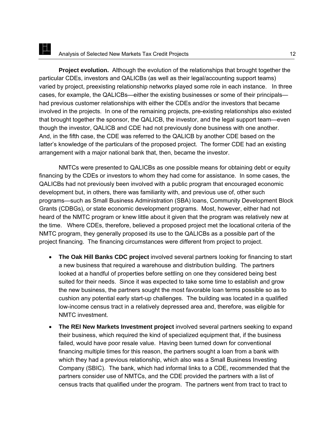**Project evolution.** Although the evolution of the relationships that brought together the particular CDEs, investors and QALICBs (as well as their legal/accounting support teams) varied by project, preexisting relationship networks played some role in each instance. In three cases, for example, the QALICBs—either the existing businesses or some of their principals had previous customer relationships with either the CDEs and/or the investors that became involved in the projects. In one of the remaining projects, pre-existing relationships also existed that brought together the sponsor, the QALICB, the investor, and the legal support team—even though the investor, QALICB and CDE had not previously done business with one another. And, in the fifth case, the CDE was referred to the QALICB by another CDE based on the latter's knowledge of the particulars of the proposed project. The former CDE had an existing arrangement with a major national bank that, then, became the investor.

NMTCs were presented to QALICBs as one possible means for obtaining debt or equity financing by the CDEs or investors to whom they had come for assistance. In some cases, the QALICBs had not previously been involved with a public program that encouraged economic development but, in others, there was familiarity with, and previous use of, other such programs—such as Small Business Administration (SBA) loans, Community Development Block Grants (CDBGs), or state economic development programs. Most, however, either had not heard of the NMTC program or knew little about it given that the program was relatively new at the time. Where CDEs, therefore, believed a proposed project met the locational criteria of the NMTC program, they generally proposed its use to the QALICBs as a possible part of the project financing. The financing circumstances were different from project to project.

- **The Oak Hill Banks CDC project** involved several partners looking for financing to start a new business that required a warehouse and distribution building. The partners looked at a handful of properties before settling on one they considered being best suited for their needs. Since it was expected to take some time to establish and grow the new business, the partners sought the most favorable loan terms possible so as to cushion any potential early start-up challenges. The building was located in a qualified low-income census tract in a relatively depressed area and, therefore, was eligible for NMTC investment.
- **The REI New Markets Investment project** involved several partners seeking to expand their business, which required the kind of specialized equipment that, if the business failed, would have poor resale value. Having been turned down for conventional financing multiple times for this reason, the partners sought a loan from a bank with which they had a previous relationship, which also was a Small Business Investing Company (SBIC). The bank, which had informal links to a CDE, recommended that the partners consider use of NMTCs, and the CDE provided the partners with a list of census tracts that qualified under the program. The partners went from tract to tract to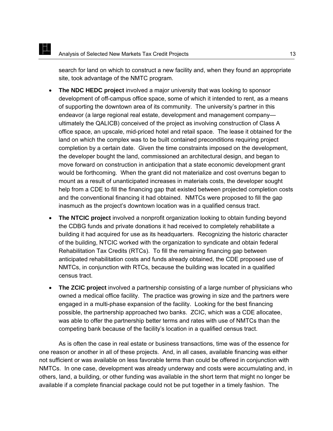E

search for land on which to construct a new facility and, when they found an appropriate site, took advantage of the NMTC program.

- **The NDC HEDC project** involved a major university that was looking to sponsor development of off-campus office space, some of which it intended to rent, as a means of supporting the downtown area of its community. The university's partner in this endeavor (a large regional real estate, development and management company ultimately the QALICB) conceived of the project as involving construction of Class A office space, an upscale, mid-priced hotel and retail space. The lease it obtained for the land on which the complex was to be built contained preconditions requiring project completion by a certain date. Given the time constraints imposed on the development, the developer bought the land, commissioned an architectural design, and began to move forward on construction in anticipation that a state economic development grant would be forthcoming. When the grant did not materialize and cost overruns began to mount as a result of unanticipated increases in materials costs, the developer sought help from a CDE to fill the financing gap that existed between projected completion costs and the conventional financing it had obtained. NMTCs were proposed to fill the gap inasmuch as the project's downtown location was in a qualified census tract.
- **The NTCIC project** involved a nonprofit organization looking to obtain funding beyond the CDBG funds and private donations it had received to completely rehabilitate a building it had acquired for use as its headquarters. Recognizing the historic character of the building, NTCIC worked with the organization to syndicate and obtain federal Rehabilitation Tax Credits (RTCs). To fill the remaining financing gap between anticipated rehabilitation costs and funds already obtained, the CDE proposed use of NMTCs, in conjunction with RTCs, because the building was located in a qualified census tract.
- **The ZCIC project** involved a partnership consisting of a large number of physicians who owned a medical office facility. The practice was growing in size and the partners were engaged in a multi-phase expansion of the facility. Looking for the best financing possible, the partnership approached two banks. ZCIC, which was a CDE allocatee, was able to offer the partnership better terms and rates with use of NMTCs than the competing bank because of the facility's location in a qualified census tract.

As is often the case in real estate or business transactions, time was of the essence for one reason or another in all of these projects. And, in all cases, available financing was either not sufficient or was available on less favorable terms than could be offered in conjunction with NMTCs. In one case, development was already underway and costs were accumulating and, in others, land, a building, or other funding was available in the short term that might no longer be available if a complete financial package could not be put together in a timely fashion. The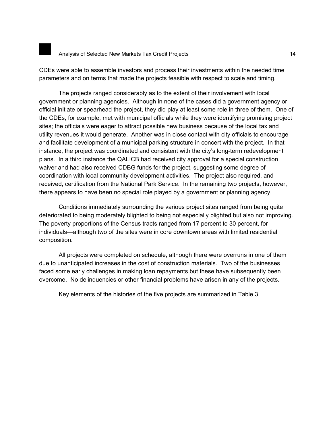CDEs were able to assemble investors and process their investments within the needed time parameters and on terms that made the projects feasible with respect to scale and timing.

The projects ranged considerably as to the extent of their involvement with local government or planning agencies. Although in none of the cases did a government agency or official initiate or spearhead the project, they did play at least some role in three of them. One of the CDEs, for example, met with municipal officials while they were identifying promising project sites; the officials were eager to attract possible new business because of the local tax and utility revenues it would generate. Another was in close contact with city officials to encourage and facilitate development of a municipal parking structure in concert with the project. In that instance, the project was coordinated and consistent with the city's long-term redevelopment plans. In a third instance the QALICB had received city approval for a special construction waiver and had also received CDBG funds for the project, suggesting some degree of coordination with local community development activities. The project also required, and received, certification from the National Park Service. In the remaining two projects, however, there appears to have been no special role played by a government or planning agency.

Conditions immediately surrounding the various project sites ranged from being quite deteriorated to being moderately blighted to being not especially blighted but also not improving. The poverty proportions of the Census tracts ranged from 17 percent to 30 percent, for individuals—although two of the sites were in core downtown areas with limited residential composition.

All projects were completed on schedule, although there were overruns in one of them due to unanticipated increases in the cost of construction materials. Two of the businesses faced some early challenges in making loan repayments but these have subsequently been overcome. No delinquencies or other financial problems have arisen in any of the projects.

Key elements of the histories of the five projects are summarized in Table 3.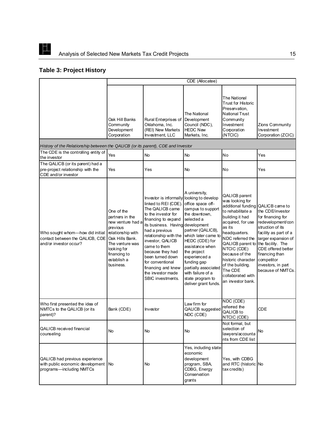

# **Table 3: Project History**

|                                                                                                   | CDE (Allocatee)                                                                                                                                                                      |                                                                                                                                                                                                                                                                                                                                                                                         |                                                                                                                                                                                                                                                                                                           |                                                                                                                                                                                                                                                                                                                                                                    |                                                                                                                                                                                                                   |
|---------------------------------------------------------------------------------------------------|--------------------------------------------------------------------------------------------------------------------------------------------------------------------------------------|-----------------------------------------------------------------------------------------------------------------------------------------------------------------------------------------------------------------------------------------------------------------------------------------------------------------------------------------------------------------------------------------|-----------------------------------------------------------------------------------------------------------------------------------------------------------------------------------------------------------------------------------------------------------------------------------------------------------|--------------------------------------------------------------------------------------------------------------------------------------------------------------------------------------------------------------------------------------------------------------------------------------------------------------------------------------------------------------------|-------------------------------------------------------------------------------------------------------------------------------------------------------------------------------------------------------------------|
|                                                                                                   | Oak Hill Banks<br>Community<br>Development<br>Corporation                                                                                                                            | Rural Enterprises of<br>Oklahoma, Inc.<br>(REI) New Markets<br>Investment, LLC                                                                                                                                                                                                                                                                                                          | The National<br>Development<br>Council (NDC),<br><b>HEDC New</b><br>Markets, Inc.                                                                                                                                                                                                                         | The National<br><b>Trust for Historic</b><br>Preservation.<br><b>National Trust</b><br>Community<br>Investment<br>Corporation<br>(NTCIC)                                                                                                                                                                                                                           | Zions Community<br>Investment<br>Corporation (ZCIC)                                                                                                                                                               |
| History of the Relationship between the QALICB (or its parent), CDE and Investor                  |                                                                                                                                                                                      |                                                                                                                                                                                                                                                                                                                                                                                         |                                                                                                                                                                                                                                                                                                           |                                                                                                                                                                                                                                                                                                                                                                    |                                                                                                                                                                                                                   |
| The CDE is the controlling entity of<br>the investor                                              | Yes                                                                                                                                                                                  | <b>No</b>                                                                                                                                                                                                                                                                                                                                                                               | No                                                                                                                                                                                                                                                                                                        | No                                                                                                                                                                                                                                                                                                                                                                 | Yes                                                                                                                                                                                                               |
| The QALICB (or its parent) had a<br>pre-project relationship with the<br>CDE and/or investor      | Yes                                                                                                                                                                                  | Yes                                                                                                                                                                                                                                                                                                                                                                                     | No                                                                                                                                                                                                                                                                                                        | No                                                                                                                                                                                                                                                                                                                                                                 | Yes                                                                                                                                                                                                               |
| Who sought whom-how did initial<br>contact between the QALICB, CDE<br>and/or investor occur?      | One of the<br>partners in the<br>new venture had a<br>previous<br>relationship with<br>Oak Hills Bank.<br>The venture was<br>looking for<br>financing to<br>establish a<br>business. | Investor is informally looking to develop<br>linked to REI (CDE). office space off-<br>The QALICB came<br>to the investor for<br>financing to expand<br>its business. Having<br>had a previous<br>relationship with the<br>investor, QALICB<br>came to them<br>because they had<br>been turned down<br>for conventional<br>financing and knew<br>the investor made<br>SBIC investments. | A university,<br>campus to support<br>the downtown.<br>selected a<br>development<br>partner (QALICB),<br>which later came to<br>HEDC (CDE) for<br>assistance when<br>the project<br>experienced a<br>funding gap<br>partially associated<br>with failure of a<br>state program to<br>deliver grant funds. | QALICB parent<br>was looking for<br>additional funding QALICB came to<br>to rehabilitate a<br>building it had<br>acquired, for use<br>as its<br>headquarters.<br>NDC referred the<br>QALICB parent to the facility. The<br>NTCIC (CDE)<br>because of the<br>historic character competitor<br>of the building.<br>The CDE<br>collaborated with<br>an investor bank. | the CDE/investor<br>for financing for<br>redevelopment/con<br>struction of its<br>facility as part of a<br>larger expansion of<br>CDE offered better<br>financing than<br>investors, in part<br>because of NMTCs. |
| Who first presented the idea of<br>NMTCs to the QALICB (or its<br>parent)?                        | Bank (CDE)                                                                                                                                                                           | Investor                                                                                                                                                                                                                                                                                                                                                                                | Law firm for<br>QALICB suggested<br>NDC (CDE)                                                                                                                                                                                                                                                             | NDC (CDE)<br>referred the<br>QALICB to<br>NTCIC (CDE)                                                                                                                                                                                                                                                                                                              | <b>CDE</b>                                                                                                                                                                                                        |
| <b>QALICB</b> received financial<br>counseling                                                    | <b>No</b>                                                                                                                                                                            | <b>No</b>                                                                                                                                                                                                                                                                                                                                                                               | No                                                                                                                                                                                                                                                                                                        | Not formal, but<br>selection of<br>lawyers/accounta<br>nts from CDE list                                                                                                                                                                                                                                                                                           | No                                                                                                                                                                                                                |
| QALICB had previous experience<br>with public economic development No<br>programs-including NMTCs |                                                                                                                                                                                      | No                                                                                                                                                                                                                                                                                                                                                                                      | Yes, including state<br>economic<br>development<br>program, SBA,<br>CDBG, Energy<br>Conservation<br>grants                                                                                                                                                                                                | Yes, with CDBG<br>and RTC (historic No<br>tax credits)                                                                                                                                                                                                                                                                                                             |                                                                                                                                                                                                                   |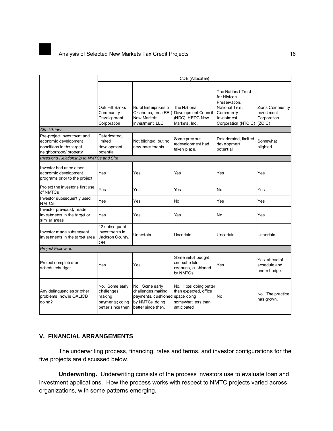<span id="page-21-0"></span>

|                                                                                                         | CDE (Allocatee)                                                                |                                                                                                     |                                                                                                     |                                                                                                                                |                                                        |
|---------------------------------------------------------------------------------------------------------|--------------------------------------------------------------------------------|-----------------------------------------------------------------------------------------------------|-----------------------------------------------------------------------------------------------------|--------------------------------------------------------------------------------------------------------------------------------|--------------------------------------------------------|
|                                                                                                         | Oak Hill Banks<br>Community<br>Development<br>Corporation                      | Rural Enterprises of<br><b>New Markets</b><br>Investment, LLC                                       | The National<br>Oklahoma, Inc. (REI) Development Council<br>(NDC), HEDC New<br>Markets, Inc.        | The National Trust<br>for Historic<br>Preservation.<br><b>National Trust</b><br>Community<br>Investment<br>Corporation (NTCIC) | Zions Community<br>Investment<br>Corporation<br>(ZCIC) |
| <b>Site History</b>                                                                                     |                                                                                |                                                                                                     |                                                                                                     |                                                                                                                                |                                                        |
| Pre-project investment and<br>economic development<br>conditions in the target<br>neighborhood/property | Deteriorated,<br>limited<br>development<br>potential                           | Not blighted, but no<br>new investments                                                             | Some previous<br>redevelopment had<br>taken place.                                                  | Deteriorated, limited<br>development<br>potential                                                                              | Somewhat<br>blighted                                   |
| <b>Investor's Relationship to NMTCs and Site</b>                                                        |                                                                                |                                                                                                     |                                                                                                     |                                                                                                                                |                                                        |
| Investor had used other<br>economic development<br>programs prior to the project                        | Yes                                                                            | Yes                                                                                                 | Yes                                                                                                 | Yes                                                                                                                            | Yes                                                    |
| Project the investor's first use<br>of NMTCs                                                            | Yes                                                                            | Yes                                                                                                 | Yes                                                                                                 | No                                                                                                                             | Yes                                                    |
| Investor subsequently used<br><b>NMTCs</b>                                                              | Yes                                                                            | Yes                                                                                                 | No                                                                                                  | Yes                                                                                                                            | Yes                                                    |
| Investor previously made<br>investments in the target or<br>similar areas                               | Yes                                                                            | Yes                                                                                                 | Yes                                                                                                 | No                                                                                                                             | Yes                                                    |
| Investor made subsequent<br>investments in the target area                                              | 12 subsequent<br>investments in<br>Jackson County,<br>OН                       | Uncertain                                                                                           | Uncertain                                                                                           | Uncertain                                                                                                                      | Uncertain                                              |
| Project Follow-on                                                                                       |                                                                                |                                                                                                     |                                                                                                     |                                                                                                                                |                                                        |
| Project completed on<br>schedule/budget                                                                 | Yes                                                                            | Yes                                                                                                 | Some initial budget<br>and schedule<br>overruns, cushioned<br>by NMTCs                              | Yes                                                                                                                            | Yes, ahead of<br>schedule and<br>under budget          |
| Any delinguencies or other<br>problems; how is QALICB<br>doing?                                         | No. Some early<br>challenges<br>making<br>payments; doing<br>better since then | No. Some early<br>challenges making<br>payments, cushioned<br>by NMTCs; doing<br>better since then. | No. Hotel doing better<br>than expected, office<br>space doing<br>somewhat less than<br>anticipated | No                                                                                                                             | No. The practice<br>has grown.                         |

# **V. FINANCIAL ARRANGEMENTS**

The underwriting process, financing, rates and terms, and investor configurations for the five projects are discussed below.

**Underwriting.** Underwriting consists of the process investors use to evaluate loan and investment applications. How the process works with respect to NMTC projects varied across organizations, with some patterns emerging.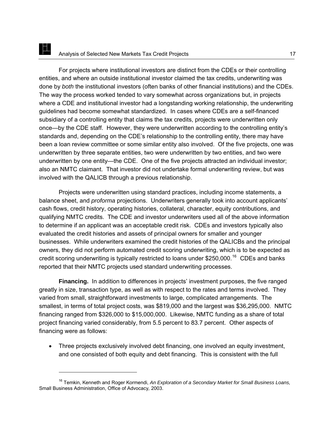For projects where institutional investors are distinct from the CDEs or their controlling entities, and where an outside institutional investor claimed the tax credits, underwriting was done by *both* the institutional investors (often banks of other financial institutions) and the CDEs. The way the process worked tended to vary somewhat across organizations but, in projects where a CDE and institutional investor had a longstanding working relationship, the underwriting guidelines had become somewhat standardized. In cases where CDEs are a self-financed subsidiary of a controlling entity that claims the tax credits, projects were underwritten only once—by the CDE staff. However, they were underwritten according to the controlling entity's standards and, depending on the CDE's relationship to the controlling entity, there may have been a loan review committee or some similar entity also involved. Of the five projects, one was underwritten by three separate entities, two were underwritten by two entities, and two were underwritten by one entity—the CDE. One of the five projects attracted an individual investor; also an NMTC claimant. That investor did not undertake formal underwriting review, but was involved with the QALICB through a previous relationship.

Projects were underwritten using standard practices, including income statements, a balance sheet, and *proforma* projections. Underwriters generally took into account applicants' cash flows, credit history, operating histories, collateral, character, equity contributions, and qualifying NMTC credits. The CDE and investor underwriters used all of the above information to determine if an applicant was an acceptable credit risk. CDEs and investors typically also evaluated the credit histories and assets of principal owners for smaller and younger businesses. While underwriters examined the credit histories of the QALICBs and the principal owners, they did not perform automated credit scoring underwriting, which is to be expected as credit scoring underwriting is typically restricted to loans under \$250,000.<sup>[16](#page-22-0)</sup> CDEs and banks reported that their NMTC projects used standard underwriting processes.

**Financing.** In addition to differences in projects' investment purposes, the five ranged greatly in size, transaction type, as well as with respect to the rates and terms involved. They varied from small, straightforward investments to large, complicated arrangements. The smallest, in terms of total project costs, was \$819,000 and the largest was \$36,295,000. NMTC financing ranged from \$326,000 to \$15,000,000. Likewise, NMTC funding as a share of total project financing varied considerably, from 5.5 percent to 83.7 percent. Other aspects of financing were as follows:

• Three projects exclusively involved debt financing, one involved an equity investment, and one consisted of both equity and debt financing. This is consistent with the full

-

<span id="page-22-0"></span><sup>16</sup> Temkin, Kenneth and Roger Kormendi, *An Exploration of a Secondary Market for Small Business Loans,*  Small Business Administration, Office of Advocacy*,* 2003.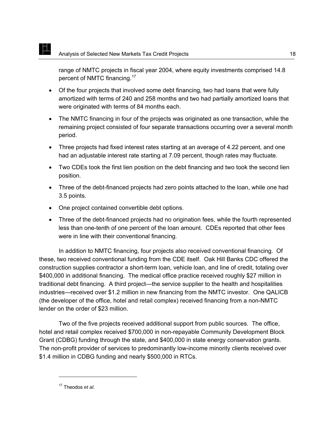E

range of NMTC projects in fiscal year 2004, where equity investments comprised 14.8 percent of NMTC financing.[17](#page-23-0)

- Of the four projects that involved some debt financing, two had loans that were fully amortized with terms of 240 and 258 months and two had partially amortized loans that were originated with terms of 84 months each.
- The NMTC financing in four of the projects was originated as one transaction, while the remaining project consisted of four separate transactions occurring over a several month period.
- Three projects had fixed interest rates starting at an average of 4.22 percent, and one had an adjustable interest rate starting at 7.09 percent, though rates may fluctuate.
- Two CDEs took the first lien position on the debt financing and two took the second lien position.
- Three of the debt-financed projects had zero points attached to the loan, while one had 3.5 points.
- One project contained convertible debt options.
- Three of the debt-financed projects had no origination fees, while the fourth represented less than one-tenth of one percent of the loan amount. CDEs reported that other fees were in line with their conventional financing.

In addition to NMTC financing, four projects also received conventional financing. Of these, two received conventional funding from the CDE itself. Oak Hill Banks CDC offered the construction supplies contractor a short-term loan, vehicle loan, and line of credit, totaling over \$400,000 in additional financing. The medical office practice received roughly \$27 million in traditional debt financing. A third project—the service supplier to the health and hospitalities industries—received over \$1.2 million in new financing from the NMTC investor. One QALICB (the developer of the office, hotel and retail complex) received financing from a non-NMTC lender on the order of \$23 million.

Two of the five projects received additional support from public sources. The office, hotel and retail complex received \$700,000 in non-repayable Community Development Block Grant (CDBG) funding through the state, and \$400,000 in state energy conservation grants. The non-profit provider of services to predominantly low-income minority clients received over \$1.4 million in CDBG funding and nearly \$500,000 in RTCs.

<span id="page-23-0"></span> $\overline{a}$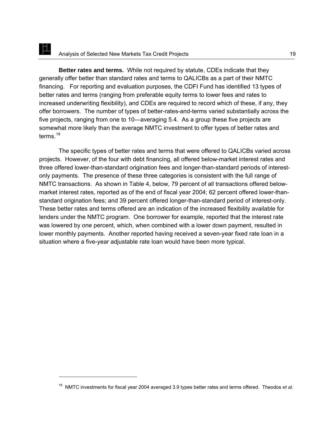**Better rates and terms.** While not required by statute, CDEs indicate that they generally offer better than standard rates and terms to QALICBs as a part of their NMTC financing. For reporting and evaluation purposes, the CDFI Fund has identified 13 types of better rates and terms (ranging from preferable equity terms to lower fees and rates to increased underwriting flexibility), and CDEs are required to record which of these, if any, they offer borrowers. The number of types of better-rates-and-terms varied substantially across the five projects, ranging from one to 10—averaging 5.4. As a group these five projects are somewhat more likely than the average NMTC investment to offer types of better rates and terms.<sup>[18](#page-24-0)</sup>

The specific types of better rates and terms that were offered to QALICBs varied across projects. However, of the four with debt financing, all offered below-market interest rates and three offered lower-than-standard origination fees and longer-than-standard periods of interestonly payments. The presence of these three categories is consistent with the full range of NMTC transactions. As shown in Table 4, below, 79 percent of all transactions offered belowmarket interest rates, reported as of the end of fiscal year 2004; 62 percent offered lower-thanstandard origination fees; and 39 percent offered longer-than-standard period of interest-only. These better rates and terms offered are an indication of the increased flexibility available for lenders under the NMTC program. One borrower for example, reported that the interest rate was lowered by one percent, which, when combined with a lower down payment, resulted in lower monthly payments. Another reported having received a seven-year fixed rate loan in a situation where a five-year adjustable rate loan would have been more typical.

 $\overline{a}$ 

<span id="page-24-0"></span><sup>18</sup> NMTC investments for fiscal year 2004 averaged 3.9 types better rates and terms offered. Theodos *et al.*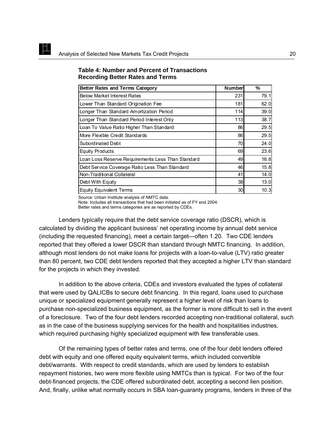K

| <b>Better Rates and Terms Category</b>            | <b>Number</b> | ℅    |
|---------------------------------------------------|---------------|------|
| <b>Below Market Interest Rates</b>                | 231           | 79.1 |
| Lower Than Standard Origination Fee               | 181           | 62.0 |
| Longer Than Standard Amortization Period          | 114           | 39.0 |
| Longer Than Standard Period Interest Only         | 113           | 38.7 |
| Loan To Value Ratio Higher Than Standard          | 86            | 29.5 |
| More Flexible Credit Standards                    | 86            | 29.5 |
| Subordinated Debt                                 | 70            | 24.0 |
| <b>Equity Products</b>                            | 69            | 23.6 |
| Loan Loss Reserve Requirements Less Than Standard | 49            | 16.8 |
| Debt Service Coverage Ratio Less Than Standard    | 46            | 15.8 |
| Non-Traditional Collateral                        | 41            | 14.0 |
| Debt With Equity                                  | 38            | 13.0 |
| <b>Equity Equivalent Terms</b>                    | 30            | 10.3 |

#### **Table 4: Number and Percent of Transactions Recording Better Rates and Terms**

Source: Urban Institute analysis of NMTC data.

Note: Includes all transactions that had been initiated as of FY end 2004.

Better rates and terms categories are as reported by CDEs.

Lenders typically require that the debt service coverage ratio (DSCR), which is calculated by dividing the applicant business' net operating income by annual debt service (including the requested financing), meet a certain target—often 1.20. Two CDE lenders reported that they offered a lower DSCR than standard through NMTC financing. In addition, although most lenders do not make loans for projects with a loan-to-value (LTV) ratio greater than 80 percent, two CDE debt lenders reported that they accepted a higher LTV than standard for the projects in which they invested.

In addition to the above criteria, CDEs and investors evaluated the types of collateral that were used by QALICBs to secure debt financing. In this regard, loans used to purchase unique or specialized equipment generally represent a higher level of risk than loans to purchase non-specialized business equipment, as the former is more difficult to sell in the event of a foreclosure. Two of the four debt lenders recorded accepting non-traditional collateral, such as in the case of the business supplying services for the health and hospitalities industries, which required purchasing highly specialized equipment with few transferable uses.

Of the remaining types of better rates and terms, one of the four debt lenders offered debt with equity and one offered equity equivalent terms, which included convertible debt/warrants. With respect to credit standards, which are used by lenders to establish repayment histories, two were more flexible using NMTCs than is typical. For two of the four debt-financed projects, the CDE offered subordinated debt, accepting a second lien position. And, finally, unlike what normally occurs in SBA loan-guaranty programs, lenders in three of the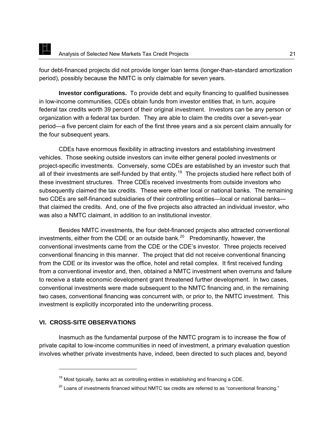<span id="page-26-0"></span>four debt-financed projects did not provide longer loan terms (longer-than-standard amortization period), possibly because the NMTC is only claimable for seven years.

**Investor configurations.**To provide debt and equity financing to qualified businesses in low-income communities, CDEs obtain funds from investor entities that, in turn, acquire federal tax credits worth 39 percent of their original investment. Investors can be any person or organization with a federal tax burden. They are able to claim the credits over a seven-year period—a five percent claim for each of the first three years and a six percent claim annually for the four subsequent years.

CDEs have enormous flexibility in attracting investors and establishing investment vehicles. Those seeking outside investors can invite either general pooled investments or project-specific investments. Conversely, some CDEs are established by an investor such that all of their investments are self-funded by that entity.<sup>[19](#page-26-1)</sup> The projects studied here reflect both of these investment structures. Three CDEs received investments from outside investors who subsequently claimed the tax credits. These were either local or national banks. The remaining two CDEs are self-financed subsidiaries of their controlling entities—local or national banks that claimed the credits. And, one of the five projects also attracted an individual investor, who was also a NMTC claimant, in addition to an institutional investor.

Besides NMTC investments, the four debt-financed projects also attracted conventional investments, either from the CDE or an outside bank.<sup>[20](#page-26-2)</sup> Predominantly, however, the conventional investments came from the CDE or the CDE's investor. Three projects received conventional financing in this manner. The project that did not receive conventional financing from the CDE or its investor was the office, hotel and retail complex. It first received funding from a conventional investor and, then, obtained a NMTC investment when overruns and failure to receive a state economic development grant threatened further development. In two cases, conventional investments were made subsequent to the NMTC financing and, in the remaining two cases, conventional financing was concurrent with, or prior to, the NMTC investment. This investment is explicitly incorporated into the underwriting process.

## **VI. CROSS-SITE OBSERVATIONS**

-

<span id="page-26-1"></span>Inasmuch as the fundamental purpose of the NMTC program is to increase the flow of private capital to low-income communities in need of investment, a primary evaluation question involves whether private investments have, indeed, been directed to such places and, beyond

 $19$  Most typically, banks act as controlling entities in establishing and financing a CDE.

<span id="page-26-2"></span> $^{20}$  Loans of investments financed without NMTC tax credits are referred to as "conventional financing."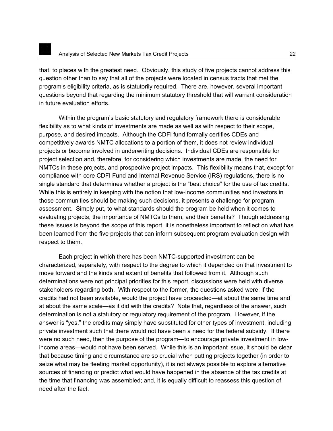that, to places with the greatest need. Obviously, this study of five projects cannot address this question other than to say that all of the projects were located in census tracts that met the program's eligibility criteria, as is statutorily required. There are, however, several important questions beyond that regarding the minimum statutory threshold that will warrant consideration in future evaluation efforts.

Within the program's basic statutory and regulatory framework there is considerable flexibility as to what kinds of investments are made as well as with respect to their scope, purpose, and desired impacts. Although the CDFI fund formally certifies CDEs and competitively awards NMTC allocations to a portion of them, it does not review individual projects or become involved in underwriting decisions. Individual CDEs are responsible for project selection and, therefore, for considering which investments are made, the need for NMTCs in these projects, and prospective project impacts. This flexibility means that, except for compliance with core CDFI Fund and Internal Revenue Service (IRS) regulations, there is no single standard that determines whether a project is the "best choice" for the use of tax credits. While this is entirely in keeping with the notion that low-income communities and investors in those communities should be making such decisions, it presents a challenge for program assessment. Simply put, to what standards should the program be held when it comes to evaluating projects, the importance of NMTCs to them, and their benefits? Though addressing these issues is beyond the scope of this report, it is nonetheless important to reflect on what has been learned from the five projects that can inform subsequent program evaluation design with respect to them.

Each project in which there has been NMTC-supported investment can be characterized, separately, with respect to the degree to which it depended on that investment to move forward and the kinds and extent of benefits that followed from it. Although such determinations were not principal priorities for this report, discussions were held with diverse stakeholders regarding both. With respect to the former, the questions asked were: if the credits had not been available, would the project have proceeded—at about the same time and at about the same scale—as it did with the credits? Note that, regardless of the answer, such determination is not a statutory or regulatory requirement of the program. However, if the answer is "yes," the credits may simply have substituted for other types of investment, including private investment such that there would not have been a need for the federal subsidy. If there were no such need, then the purpose of the program—to encourage private investment in lowincome areas—would not have been served. While this is an important issue, it should be clear that because timing and circumstance are so crucial when putting projects together (in order to seize what may be fleeting market opportunity), it is not always possible to explore alternative sources of financing or predict what would have happened in the absence of the tax credits at the time that financing was assembled; and, it is equally difficult to reassess this question of need after the fact.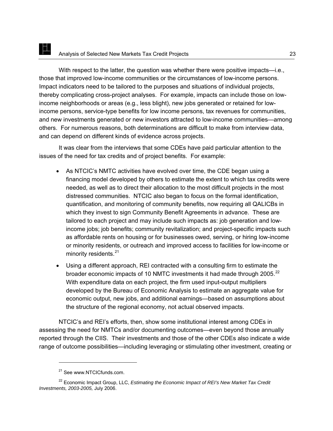With respect to the latter, the question was whether there were positive impacts—i.e., those that improved low-income communities or the circumstances of low-income persons. Impact indicators need to be tailored to the purposes and situations of individual projects, thereby complicating cross-project analyses. For example, impacts can include those on lowincome neighborhoods or areas (e.g., less blight), new jobs generated or retained for lowincome persons, service-type benefits for low income persons, tax revenues for communities, and new investments generated or new investors attracted to low-income communities—among others. For numerous reasons, both determinations are difficult to make from interview data, and can depend on different kinds of evidence across projects.

It was clear from the interviews that some CDEs have paid particular attention to the issues of the need for tax credits and of project benefits. For example:

- As NTCIC's NMTC activities have evolved over time, the CDE began using a financing model developed by others to estimate the extent to which tax credits were needed, as well as to direct their allocation to the most difficult projects in the most distressed communities. NTCIC also began to focus on the formal identification, quantification, and monitoring of community benefits, now requiring all QALICBs in which they invest to sign Community Benefit Agreements in advance. These are tailored to each project and may include such impacts as: job generation and lowincome jobs; job benefits; community revitalization; and project-specific impacts such as affordable rents on housing or for businesses owed, serving, or hiring low-income or minority residents, or outreach and improved access to facilities for low-income or minority residents.<sup>[21](#page-28-0)</sup>
- Using a different approach, REI contracted with a consulting firm to estimate the broader economic impacts of 10 NMTC investments it had made through 2005.<sup>[22](#page-28-1)</sup> With expenditure data on each project, the firm used input-output multipliers developed by the Bureau of Economic Analysis to estimate an aggregate value for economic output, new jobs, and additional earnings—based on assumptions about the structure of the regional economy, not actual observed impacts.

NTCIC's and REI's efforts, then, show some institutional interest among CDEs in assessing the need for NMTCs and/or documenting outcomes—even beyond those annually reported through the CIIS. Their investments and those of the other CDEs also indicate a wide range of outcome possibilities—including leveraging or stimulating other investment, creating or

<sup>&</sup>lt;sup>21</sup> See www.NTCICfunds.com.

<span id="page-28-1"></span><span id="page-28-0"></span><sup>&</sup>lt;sup>22</sup> Economic Impact Group, LLC, *Estimating the Economic Impact of REI's New Market Tax Credit Investments, 2003-2005,* July 2006.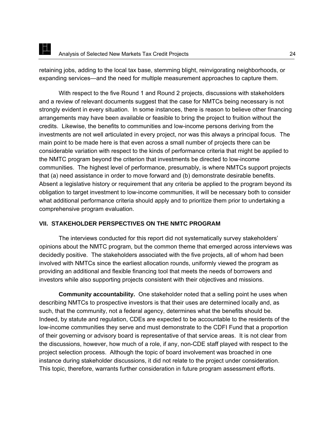<span id="page-29-0"></span>retaining jobs, adding to the local tax base, stemming blight, reinvigorating neighborhoods, or expanding services—and the need for multiple measurement approaches to capture them.

With respect to the five Round 1 and Round 2 projects, discussions with stakeholders and a review of relevant documents suggest that the case for NMTCs being necessary is not strongly evident in every situation. In some instances, there is reason to believe other financing arrangements may have been available or feasible to bring the project to fruition without the credits. Likewise, the benefits to communities and low-income persons deriving from the investments are not well articulated in every project, nor was this always a principal focus. The main point to be made here is that even across a small number of projects there can be considerable variation with respect to the kinds of performance criteria that might be applied to the NMTC program beyond the criterion that investments be directed to low-income communities. The highest level of performance, presumably, is where NMTCs support projects that (a) need assistance in order to move forward and (b) demonstrate desirable benefits. Absent a legislative history or requirement that any criteria be applied to the program beyond its obligation to target investment to low-income communities, it will be necessary both to consider what additional performance criteria should apply and to prioritize them prior to undertaking a comprehensive program evaluation.

## **VII. STAKEHOLDER PERSPECTIVES ON THE NMTC PROGRAM**

The interviews conducted for this report did not systematically survey stakeholders' opinions about the NMTC program, but the common theme that emerged across interviews was decidedly positive. The stakeholders associated with the five projects, all of whom had been involved with NMTCs since the earliest allocation rounds, uniformly viewed the program as providing an additional and flexible financing tool that meets the needs of borrowers and investors while also supporting projects consistent with their objectives and missions.

**Community accountability.** One stakeholder noted that a selling point he uses when describing NMTCs to prospective investors is that their uses are determined locally and, as such, that the community, not a federal agency, determines what the benefits should be. Indeed, by statute and regulation, CDEs are expected to be accountable to the residents of the low-income communities they serve and must demonstrate to the CDFI Fund that a proportion of their governing or advisory board is representative of that service areas. It is not clear from the discussions, however, how much of a role, if any, non-CDE staff played with respect to the project selection process. Although the topic of board involvement was broached in one instance during stakeholder discussions, it did not relate to the project under consideration. This topic, therefore, warrants further consideration in future program assessment efforts.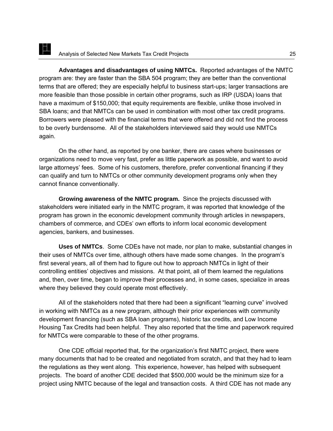**Advantages and disadvantages of using NMTCs.** Reported advantages of the NMTC program are: they are faster than the SBA 504 program; they are better than the conventional terms that are offered; they are especially helpful to business start-ups; larger transactions are more feasible than those possible in certain other programs, such as IRP (USDA) loans that have a maximum of \$150,000; that equity requirements are flexible, unlike those involved in SBA loans; and that NMTCs can be used in combination with most other tax credit programs. Borrowers were pleased with the financial terms that were offered and did not find the process to be overly burdensome. All of the stakeholders interviewed said they would use NMTCs again.

On the other hand, as reported by one banker, there are cases where businesses or organizations need to move very fast, prefer as little paperwork as possible, and want to avoid large attorneys' fees. Some of his customers, therefore, prefer conventional financing if they can qualify and turn to NMTCs or other community development programs only when they cannot finance conventionally.

**Growing awareness of the NMTC program.** Since the projects discussed with stakeholders were initiated early in the NMTC program, it was reported that knowledge of the program has grown in the economic development community through articles in newspapers, chambers of commerce, and CDEs' own efforts to inform local economic development agencies, bankers, and businesses.

**Uses of NMTCs**. Some CDEs have not made, nor plan to make, substantial changes in their uses of NMTCs over time, although others have made some changes. In the program's first several years, all of them had to figure out how to approach NMTCs in light of their controlling entities' objectives and missions. At that point, all of them learned the regulations and, then, over time, began to improve their processes and, in some cases, specialize in areas where they believed they could operate most effectively.

All of the stakeholders noted that there had been a significant "learning curve" involved in working with NMTCs as a new program, although their prior experiences with community development financing (such as SBA loan programs), historic tax credits, and Low Income Housing Tax Credits had been helpful. They also reported that the time and paperwork required for NMTCs were comparable to these of the other programs.

One CDE official reported that, for the organization's first NMTC project, there were many documents that had to be created and negotiated from scratch, and that they had to learn the regulations as they went along. This experience, however, has helped with subsequent projects. The board of another CDE decided that \$500,000 would be the minimum size for a project using NMTC because of the legal and transaction costs. A third CDE has not made any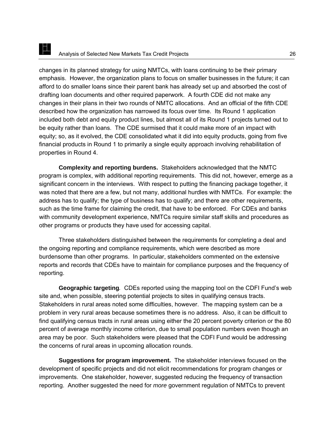changes in its planned strategy for using NMTCs, with loans continuing to be their primary emphasis. However, the organization plans to focus on smaller businesses in the future; it can afford to do smaller loans since their parent bank has already set up and absorbed the cost of drafting loan documents and other required paperwork. A fourth CDE did not make any changes in their plans in their two rounds of NMTC allocations. And an official of the fifth CDE described how the organization has narrowed its focus over time. Its Round 1 application included both debt and equity product lines, but almost all of its Round 1 projects turned out to be equity rather than loans. The CDE surmised that it could make more of an impact with equity; so, as it evolved, the CDE consolidated what it did into equity products, going from five financial products in Round 1 to primarily a single equity approach involving rehabilitation of properties in Round 4.

**Complexity and reporting burdens.** Stakeholders acknowledged that the NMTC program is complex, with additional reporting requirements. This did not, however, emerge as a significant concern in the interviews. With respect to putting the financing package together, it was noted that there are a few, but not many, additional hurdles with NMTCs. For example: the address has to qualify; the type of business has to qualify; and there are other requirements, such as the time frame for claiming the credit, that have to be enforced. For CDEs and banks with community development experience, NMTCs require similar staff skills and procedures as other programs or products they have used for accessing capital.

Three stakeholders distinguished between the requirements for completing a deal and the ongoing reporting and compliance requirements, which were described as more burdensome than other programs. In particular, stakeholders commented on the extensive reports and records that CDEs have to maintain for compliance purposes and the frequency of reporting.

**Geographic targeting***.* CDEs reported using the mapping tool on the CDFI Fund's web site and, when possible, steering potential projects to sites in qualifying census tracts. Stakeholders in rural areas noted some difficulties, however. The mapping system can be a problem in very rural areas because sometimes there is no address. Also, it can be difficult to find qualifying census tracts in rural areas using either the 20 percent poverty criterion or the 80 percent of average monthly income criterion, due to small population numbers even though an area may be poor. Such stakeholders were pleased that the CDFI Fund would be addressing the concerns of rural areas in upcoming allocation rounds.

**Suggestions for program improvement.** The stakeholder interviews focused on the development of specific projects and did not elicit recommendations for program changes or improvements. One stakeholder, however, suggested reducing the frequency of transaction reporting. Another suggested the need for *more* government regulation of NMTCs to prevent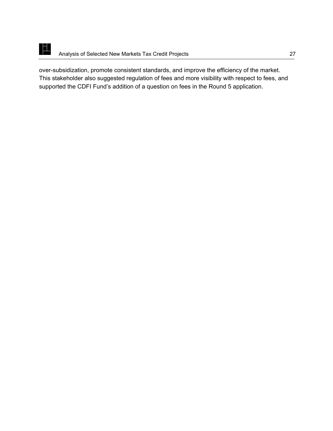

over-subsidization, promote consistent standards, and improve the efficiency of the market. This stakeholder also suggested regulation of fees and more visibility with respect to fees, and supported the CDFI Fund's addition of a question on fees in the Round 5 application.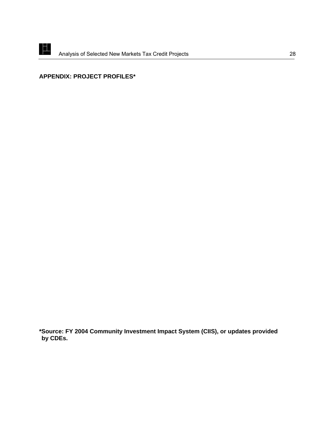<span id="page-33-0"></span>

# **APPENDIX: PROJECT PROFILES\***

**\*Source: FY 2004 Community Investment Impact System (CIIS), or updates provided by CDEs.**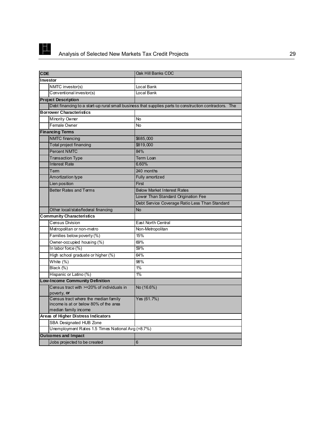

| CDE                                                                                                   | Oak Hill Banks CDC                                                                                     |
|-------------------------------------------------------------------------------------------------------|--------------------------------------------------------------------------------------------------------|
| Investor                                                                                              |                                                                                                        |
| NMTC investor(s)                                                                                      | Local Bank                                                                                             |
| Conventional investor(s)                                                                              | Local Bank                                                                                             |
| <b>Project Description</b>                                                                            |                                                                                                        |
|                                                                                                       | Debt financing to a start-up rural small business that supplies parts to construction contractors. The |
| <b>Borrower Characteristics</b>                                                                       |                                                                                                        |
| Minority Owner                                                                                        | No                                                                                                     |
| Female Owner                                                                                          | <b>No</b>                                                                                              |
| <b>Financing Terms</b>                                                                                |                                                                                                        |
| <b>NMTC</b> financing                                                                                 | \$685,000                                                                                              |
| Total project financing                                                                               | \$819,000                                                                                              |
| <b>Percent NMTC</b>                                                                                   | 84%                                                                                                    |
| <b>Transaction Type</b>                                                                               | <b>Term Loan</b>                                                                                       |
| <b>Interest Rate</b>                                                                                  | 6.60%                                                                                                  |
| Tem                                                                                                   | 240 months                                                                                             |
| <b>Amortization type</b>                                                                              | Fully amortized                                                                                        |
| Lien position                                                                                         | First                                                                                                  |
| <b>Better Rates and Terms</b>                                                                         | <b>Below Market Interest Rates</b>                                                                     |
|                                                                                                       | Lower Than Standard Origination Fee                                                                    |
|                                                                                                       | Debt Service Coverage Ratio Less Than Standard                                                         |
| Other local/state/federal financing                                                                   | <b>No</b>                                                                                              |
| <b>Community Characteristics</b>                                                                      |                                                                                                        |
| <b>Census Division</b>                                                                                | East North Central                                                                                     |
| Metropolitan or non-metro                                                                             | Non-Metropolitan                                                                                       |
| Families below poverty (%)                                                                            | 15%                                                                                                    |
| Owner-occupied housing (%)                                                                            | 69%                                                                                                    |
| In labor force (%)                                                                                    | 59%                                                                                                    |
| High school graduate or higher (%)                                                                    | 64%                                                                                                    |
| White (%)                                                                                             | 98%                                                                                                    |
| Black (%)                                                                                             | 1%                                                                                                     |
| Hispanic or Latino (%)                                                                                | 1%                                                                                                     |
| .ow-Income Community Definition                                                                       |                                                                                                        |
| Census tract with >=20% of individuals in<br>poverty, or                                              | No (16.6%)                                                                                             |
| Census tract where the median family<br>income is at or below 80% of the area<br>median family income | Yes (61.7%)                                                                                            |
| Areas of Higher Distress Indicators                                                                   |                                                                                                        |
| SBA Designated HUB Zone                                                                               |                                                                                                        |
| Unemployment Rates 1.5 Times National Avg (=8.7%)                                                     |                                                                                                        |
| <b>Outcomes and Impact</b>                                                                            |                                                                                                        |
| Jobs projected to be created                                                                          | $6\phantom{1}6$                                                                                        |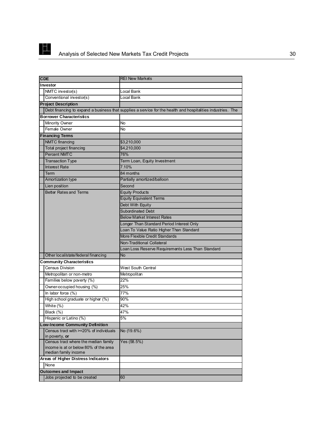

| CDE                                    | <b>REI New Markets</b>                                                                                       |
|----------------------------------------|--------------------------------------------------------------------------------------------------------------|
| Investor                               |                                                                                                              |
| NMTC investor(s)                       | Local Bank                                                                                                   |
| Conventional investor(s)               | Local Bank                                                                                                   |
| <b>Project Description</b>             |                                                                                                              |
|                                        | Debt financing to expand a business that supplies a service for the health and hospitalities industries. The |
| <b>Borrower Characteristics</b>        |                                                                                                              |
| <b>Minority Owner</b>                  | <b>No</b>                                                                                                    |
| Female Owner                           | <b>No</b>                                                                                                    |
| <b>Financing Terms</b>                 |                                                                                                              |
| NMTC financing                         | \$3,210,000                                                                                                  |
| Total project financing                | \$4,210,000                                                                                                  |
| <b>Percent NMTC</b>                    | 76%                                                                                                          |
| <b>Transaction Type</b>                | Term Loan, Equity Investment                                                                                 |
| <b>Interest Rate</b>                   | 7.10%                                                                                                        |
| Term                                   | 84 months                                                                                                    |
| Amortization type                      | Partially amortized/balloon                                                                                  |
| Lien position                          | Second                                                                                                       |
| <b>Better Rates and Terms</b>          | <b>Equity Products</b>                                                                                       |
|                                        | <b>Equity Equivalent Terms</b>                                                                               |
|                                        | Debt With Equity                                                                                             |
|                                        | <b>Subordinated Debt</b>                                                                                     |
|                                        | <b>Below Market Interest Rates</b>                                                                           |
|                                        | Longer Than Standard Period Interest Only                                                                    |
|                                        | Loan To Value Ratio Higher Than Standard                                                                     |
|                                        | More Flexible Credit Standards                                                                               |
|                                        | Non-Traditional Collateral                                                                                   |
|                                        | Loan Loss Reserve Requirements Less Than Standard                                                            |
| Other local/state/federal financing    | No                                                                                                           |
| <b>Community Characteristics</b>       |                                                                                                              |
| <b>Census Division</b>                 | West South Central                                                                                           |
| Metropolitan or non-metro              | Metropolitan                                                                                                 |
| Families below poverty (%)             | 22%                                                                                                          |
| Owner-occupied housing (%)             | 25%                                                                                                          |
| In labor force $(\%)$                  | 77%                                                                                                          |
| High school graduate or higher (%)     | 90%                                                                                                          |
| White $(\%)$                           | 42%                                                                                                          |
| Black (%)                              | 47%                                                                                                          |
| Hispanic or Latino (%)                 | 5%                                                                                                           |
| Low-Income Community Definition        |                                                                                                              |
| Census tract with >=20% of individuals | No (19.6%)                                                                                                   |
| in poverty, or                         |                                                                                                              |
| Census tract where the median family   | Yes (58.5%)                                                                                                  |
| income is at or below 80% of the area  |                                                                                                              |
| median family income                   |                                                                                                              |
| Areas of Higher Distress Indicators    |                                                                                                              |
| None                                   |                                                                                                              |
| <b>Outcomes and Impact</b>             |                                                                                                              |
| Jobs projected to be created           | 60                                                                                                           |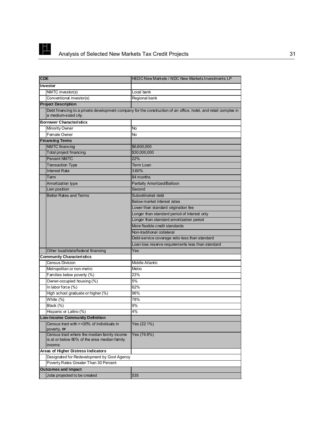

| <b>CDE</b>                                                                                            | HEDC New Markets / NDC New Markets Investments LP                                                               |
|-------------------------------------------------------------------------------------------------------|-----------------------------------------------------------------------------------------------------------------|
| Investor                                                                                              |                                                                                                                 |
| NMTC investor(s)                                                                                      | Local bank                                                                                                      |
| Conventional investor(s)                                                                              | Regional bank                                                                                                   |
| <b>Project Description</b>                                                                            |                                                                                                                 |
| a medium-sized city.                                                                                  | Debt financing to a private development company for the construction of an office, hotel, and retail complex in |
| <b>Borrower Characteristics</b>                                                                       |                                                                                                                 |
| <b>Minority Owner</b>                                                                                 | No                                                                                                              |
| Female Owner                                                                                          | No                                                                                                              |
| <b>Financing Terms</b>                                                                                |                                                                                                                 |
| <b>NMTC</b> financing                                                                                 | \$6,600,000                                                                                                     |
| <b>Total project financing</b>                                                                        | \$30,000,000                                                                                                    |
| <b>Percent NMTC</b>                                                                                   | 22%                                                                                                             |
| <b>Transaction Type</b>                                                                               | Term Loan                                                                                                       |
| <b>Interest Rate</b>                                                                                  | 3.60%                                                                                                           |
| Term                                                                                                  | 84 months                                                                                                       |
| Amortization type                                                                                     | Partially Amortized/Balloon                                                                                     |
| Lien position                                                                                         | Second                                                                                                          |
| <b>Better Rates and Terms</b>                                                                         | Subordinated debt                                                                                               |
|                                                                                                       | Below market interest rates                                                                                     |
|                                                                                                       | Lower than standard origination fee                                                                             |
|                                                                                                       | Longer than standard period of interest only                                                                    |
|                                                                                                       | Longer than standard amortization period                                                                        |
|                                                                                                       | More flexible credit standards                                                                                  |
|                                                                                                       | Non-traditional collateral                                                                                      |
|                                                                                                       | Debt-service coverage ratio less than standard                                                                  |
|                                                                                                       | Loan loss reserve requirements less than standard                                                               |
| Other local/state/federal financing                                                                   | Yes                                                                                                             |
| <b>Community Characteristics</b>                                                                      |                                                                                                                 |
| <b>Census Division</b>                                                                                | Middle Atlantic                                                                                                 |
| Metropolitan or non-metro                                                                             | Metro                                                                                                           |
| Families below poverty (%)                                                                            | 23%                                                                                                             |
| Owner-occupied housing (%)                                                                            | 5%                                                                                                              |
| In labor force (%)                                                                                    | 62%                                                                                                             |
| High school graduate or higher (%)                                                                    | 96%                                                                                                             |
| White (%)                                                                                             | 78%                                                                                                             |
| Black (%)                                                                                             | 9%                                                                                                              |
| Hispanic or Latino (%)                                                                                | 4%                                                                                                              |
| ī<br>ow-Income Community Definition                                                                   |                                                                                                                 |
| Census tract with >=20% of individuals in<br>poverty, <b>or</b>                                       | Yes (22.1%)                                                                                                     |
| Census tract where the median family income<br>is at or below 80% of the area median family<br>income | Yes (74.8%)                                                                                                     |
| Areas of Higher Distress Indicators                                                                   |                                                                                                                 |
| Designated for Redevelopment by Govt Agency                                                           |                                                                                                                 |
| Poverty Rates Greater Than 30 Percent                                                                 |                                                                                                                 |
| <b>Outcomes and Impact</b>                                                                            |                                                                                                                 |
| Jobs projected to be created                                                                          | 535                                                                                                             |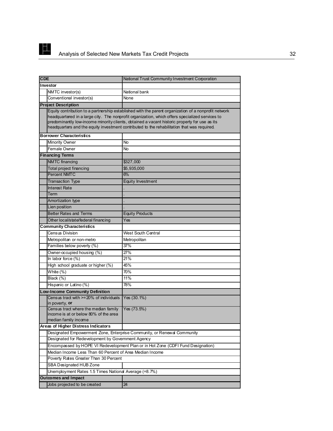

| <b>CDE</b>                                                                                            | National Trust Community Investment Corporation                                                                                                                                                                                                                                                                                                                                                         |  |
|-------------------------------------------------------------------------------------------------------|---------------------------------------------------------------------------------------------------------------------------------------------------------------------------------------------------------------------------------------------------------------------------------------------------------------------------------------------------------------------------------------------------------|--|
| Investor                                                                                              |                                                                                                                                                                                                                                                                                                                                                                                                         |  |
| NMTC investor(s)                                                                                      | National bank                                                                                                                                                                                                                                                                                                                                                                                           |  |
| Conventional investor(s)                                                                              | None                                                                                                                                                                                                                                                                                                                                                                                                    |  |
| <b>Project Description</b>                                                                            |                                                                                                                                                                                                                                                                                                                                                                                                         |  |
| <b>Borrower Characteristics</b>                                                                       | Equity contribution to a partnership established with the parent organization of a nonprofit network<br>headquartered in a large city. The nonprofit organization, which offers specialized services to<br>predominantly low-income minority clients, obtained a vacant historic property for use as its<br>headquarters and the equity investment contributed to the rehabilitation that was required. |  |
| Minority Owner                                                                                        | No                                                                                                                                                                                                                                                                                                                                                                                                      |  |
| Female Owner                                                                                          |                                                                                                                                                                                                                                                                                                                                                                                                         |  |
|                                                                                                       | No                                                                                                                                                                                                                                                                                                                                                                                                      |  |
| <b>Financing Terms</b>                                                                                |                                                                                                                                                                                                                                                                                                                                                                                                         |  |
| <b>NMTC</b> financing                                                                                 | \$327,000                                                                                                                                                                                                                                                                                                                                                                                               |  |
| Total project financing                                                                               | \$5,935,000                                                                                                                                                                                                                                                                                                                                                                                             |  |
| <b>Percent NMTC</b>                                                                                   | 6%                                                                                                                                                                                                                                                                                                                                                                                                      |  |
| <b>Transaction Type</b>                                                                               | Equity Investment                                                                                                                                                                                                                                                                                                                                                                                       |  |
| <b>Interest Rate</b>                                                                                  |                                                                                                                                                                                                                                                                                                                                                                                                         |  |
| Term                                                                                                  |                                                                                                                                                                                                                                                                                                                                                                                                         |  |
| Amortization type                                                                                     |                                                                                                                                                                                                                                                                                                                                                                                                         |  |
| Lien position                                                                                         |                                                                                                                                                                                                                                                                                                                                                                                                         |  |
| <b>Better Rates and Terms</b>                                                                         | <b>Equity Products</b>                                                                                                                                                                                                                                                                                                                                                                                  |  |
| Other local/state/federal financing                                                                   | Yes                                                                                                                                                                                                                                                                                                                                                                                                     |  |
| <b>Community Characteristics</b>                                                                      |                                                                                                                                                                                                                                                                                                                                                                                                         |  |
| Census Division                                                                                       | <b>West South Central</b>                                                                                                                                                                                                                                                                                                                                                                               |  |
| Metropolitan or non-metro                                                                             | Metropolitan                                                                                                                                                                                                                                                                                                                                                                                            |  |
| Families below poverty (%)                                                                            | 37%                                                                                                                                                                                                                                                                                                                                                                                                     |  |
| Owner-occupied housing (%)                                                                            | 27%                                                                                                                                                                                                                                                                                                                                                                                                     |  |
| In labor force $(\%)$                                                                                 | 21%                                                                                                                                                                                                                                                                                                                                                                                                     |  |
| High school graduate or higher (%)                                                                    | 45%                                                                                                                                                                                                                                                                                                                                                                                                     |  |
| White $(\%)$                                                                                          | 70%                                                                                                                                                                                                                                                                                                                                                                                                     |  |
| Black $(\%)$                                                                                          | 11%                                                                                                                                                                                                                                                                                                                                                                                                     |  |
| Hispanic or Latino (%)                                                                                | 78%                                                                                                                                                                                                                                                                                                                                                                                                     |  |
| <b>Low-Income Community Definition</b>                                                                |                                                                                                                                                                                                                                                                                                                                                                                                         |  |
| Census tract with >=20% of individuals<br>in poverty, or                                              | Yes (30.1%)                                                                                                                                                                                                                                                                                                                                                                                             |  |
| Census tract where the median family<br>income is at or below 80% of the area<br>median family income | Yes (73.5%)                                                                                                                                                                                                                                                                                                                                                                                             |  |
| Areas of Higher Distress Indicators                                                                   |                                                                                                                                                                                                                                                                                                                                                                                                         |  |
|                                                                                                       | Designated Empowerment Zone, Enterprise Community, or Renewal Community                                                                                                                                                                                                                                                                                                                                 |  |
| Designated for Redevelopment by Government Agency                                                     |                                                                                                                                                                                                                                                                                                                                                                                                         |  |
|                                                                                                       | Encompassed by HOPE VI Redevelopment Plan or in Hot Zone (CDFI Fund Designation)                                                                                                                                                                                                                                                                                                                        |  |
| Median Income Less Than 60 Percent of Area Median Income                                              |                                                                                                                                                                                                                                                                                                                                                                                                         |  |
| Poverty Rates Greater Than 30 Percent                                                                 |                                                                                                                                                                                                                                                                                                                                                                                                         |  |
| SBA Designated HUB Zone                                                                               |                                                                                                                                                                                                                                                                                                                                                                                                         |  |
| Unemployment Rates 1.5 Times National Average (=8.7%)                                                 |                                                                                                                                                                                                                                                                                                                                                                                                         |  |
| <b>Outcomes and Impact</b>                                                                            |                                                                                                                                                                                                                                                                                                                                                                                                         |  |
| Jobs projected to be created                                                                          | 24                                                                                                                                                                                                                                                                                                                                                                                                      |  |